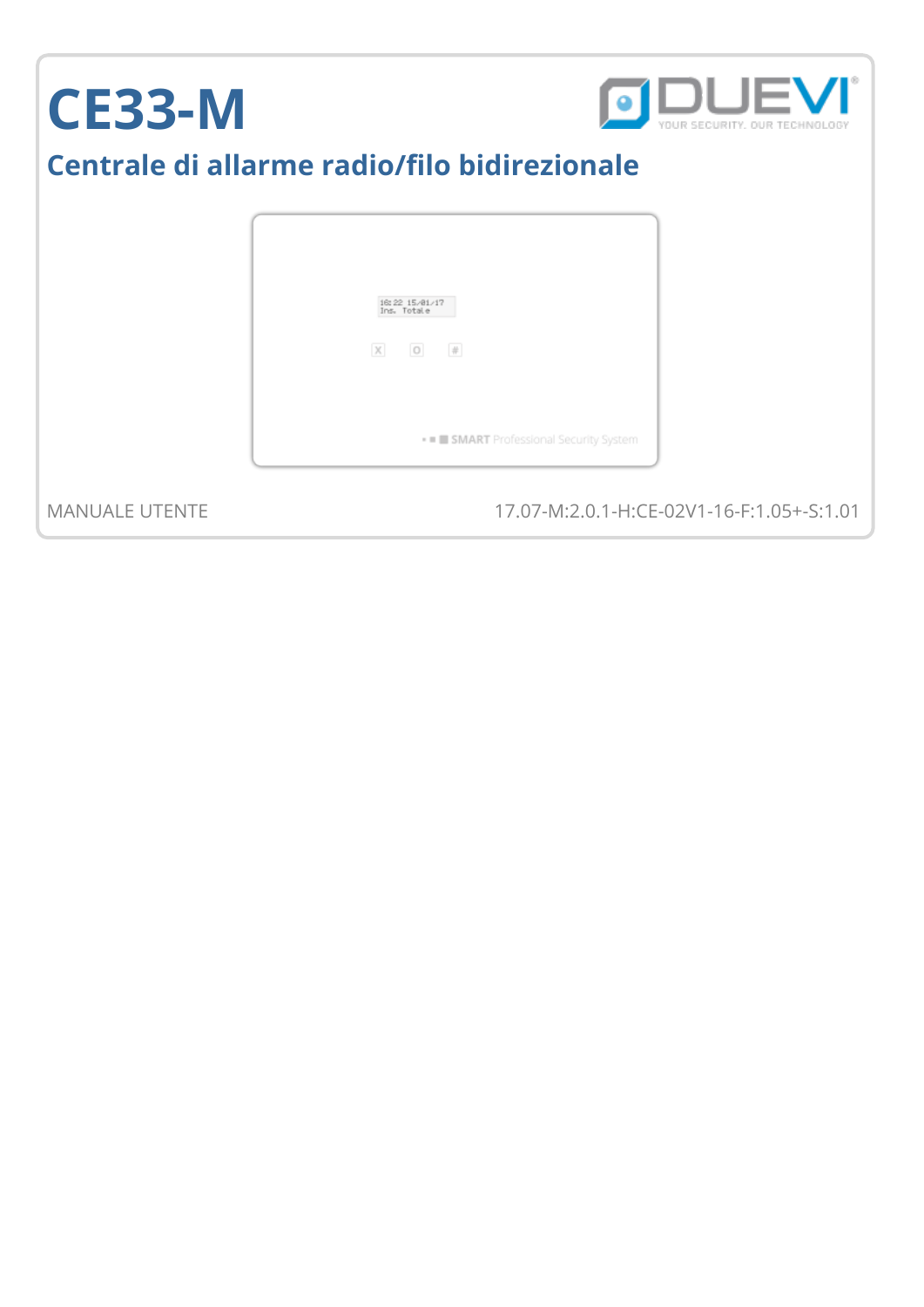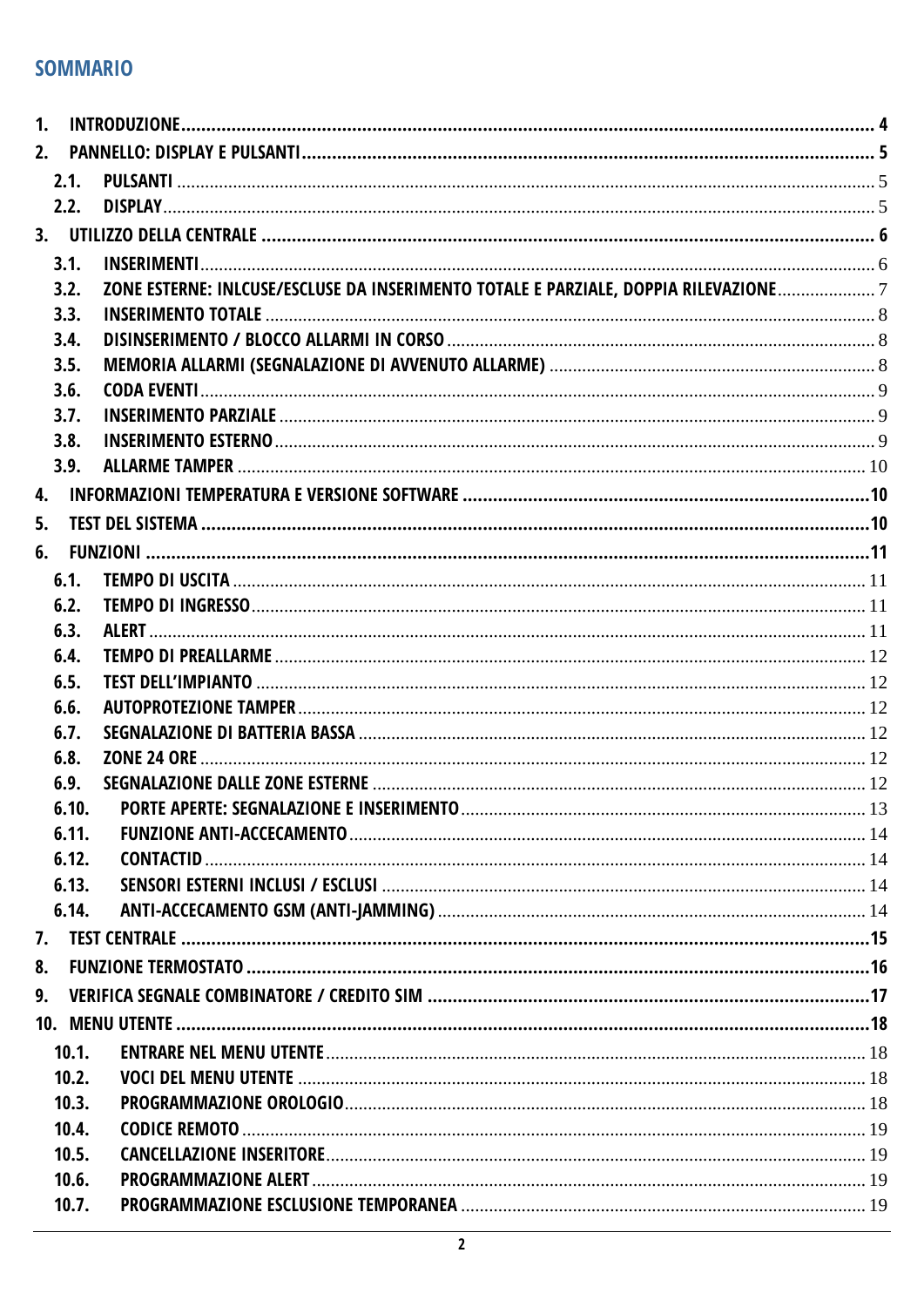### **SOMMARIO**

| 1. |       |                                                                                    |  |
|----|-------|------------------------------------------------------------------------------------|--|
|    |       |                                                                                    |  |
|    | 2.1.  |                                                                                    |  |
|    | 2.2.  |                                                                                    |  |
|    |       |                                                                                    |  |
|    | 3.1.  |                                                                                    |  |
|    | 3.2.  | ZONE ESTERNE: INLCUSE/ESCLUSE DA INSERIMENTO TOTALE E PARZIALE, DOPPIA RILEVAZIONE |  |
|    | 3.3.  |                                                                                    |  |
|    | 3.4.  |                                                                                    |  |
|    | 3.5.  |                                                                                    |  |
|    | 3.6.  |                                                                                    |  |
|    | 3.7.  |                                                                                    |  |
|    | 3.8.  |                                                                                    |  |
|    | 3.9.  |                                                                                    |  |
|    |       |                                                                                    |  |
| 5. |       |                                                                                    |  |
| 6. |       |                                                                                    |  |
|    | 6.1.  |                                                                                    |  |
|    | 6.2.  |                                                                                    |  |
|    | 6.3.  |                                                                                    |  |
|    | 6.4.  |                                                                                    |  |
|    | 6.5.  |                                                                                    |  |
|    | 6.6.  |                                                                                    |  |
|    | 6.7.  |                                                                                    |  |
|    | 6.8.  |                                                                                    |  |
|    | 6.9.  |                                                                                    |  |
|    | 6.10. | <b>PORTE APERTE: SEGNALAZIONE E INSERIMENTO.</b>                                   |  |
|    | 6.11. |                                                                                    |  |
|    | 6.12. |                                                                                    |  |
|    | 6.13. |                                                                                    |  |
|    | 6.14. |                                                                                    |  |
|    |       |                                                                                    |  |
|    |       |                                                                                    |  |
|    |       |                                                                                    |  |
|    |       |                                                                                    |  |
|    | 10.1. |                                                                                    |  |
|    | 10.2. |                                                                                    |  |
|    | 10.3. |                                                                                    |  |
|    | 10.4. |                                                                                    |  |
|    | 10.5. |                                                                                    |  |
|    | 10.6. |                                                                                    |  |
|    | 10.7. |                                                                                    |  |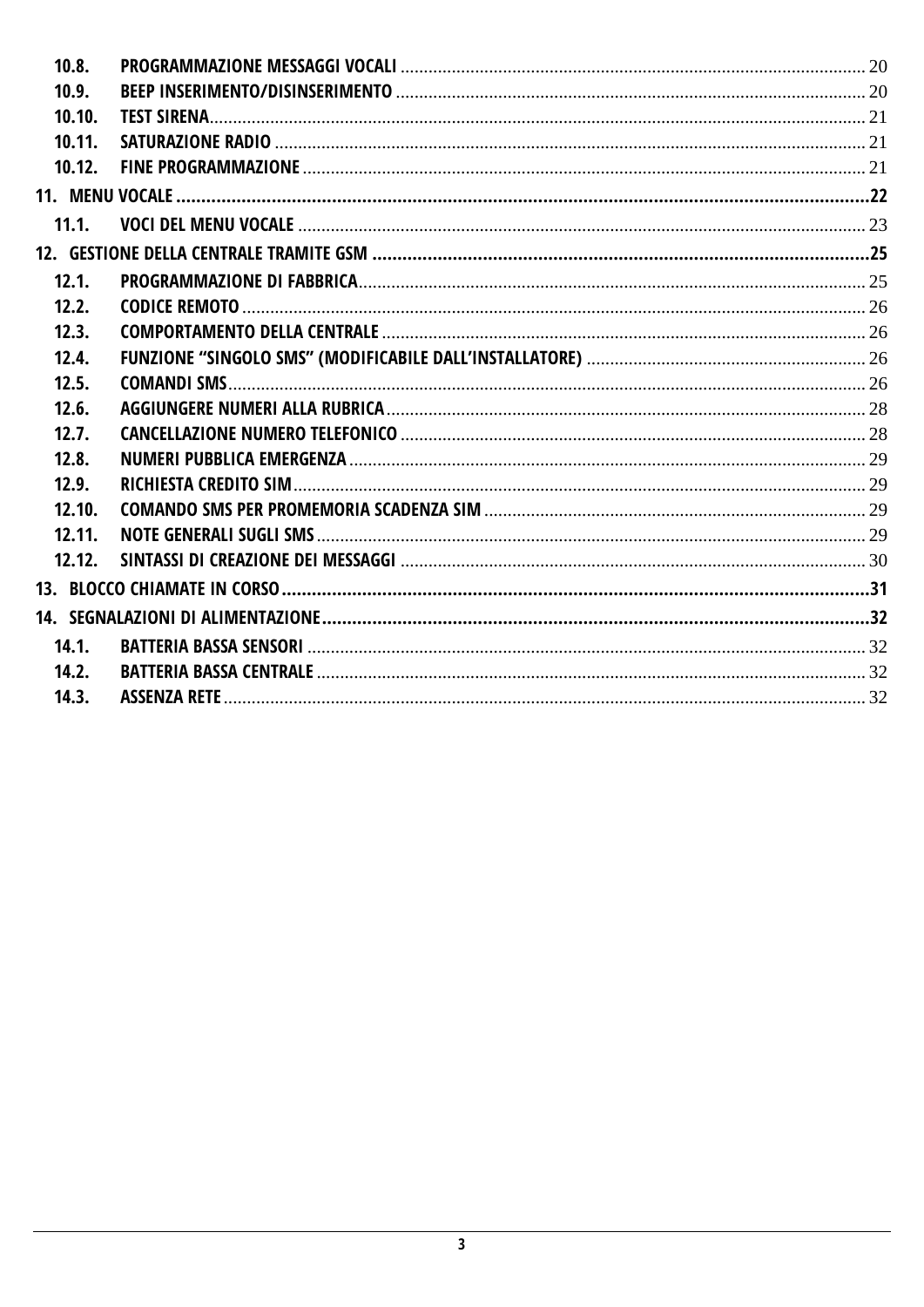| 10.8.  |  |
|--------|--|
| 10.9.  |  |
| 10.10. |  |
| 10.11. |  |
| 10.12. |  |
|        |  |
| 11.1.  |  |
|        |  |
| 12.1.  |  |
| 12.2.  |  |
| 12.3.  |  |
| 12.4.  |  |
| 12.5.  |  |
| 12.6.  |  |
| 12.7.  |  |
| 12.8.  |  |
| 12.9.  |  |
| 12.10. |  |
| 12.11. |  |
| 12.12. |  |
|        |  |
|        |  |
| 14.1.  |  |
| 14.2.  |  |
| 14.3.  |  |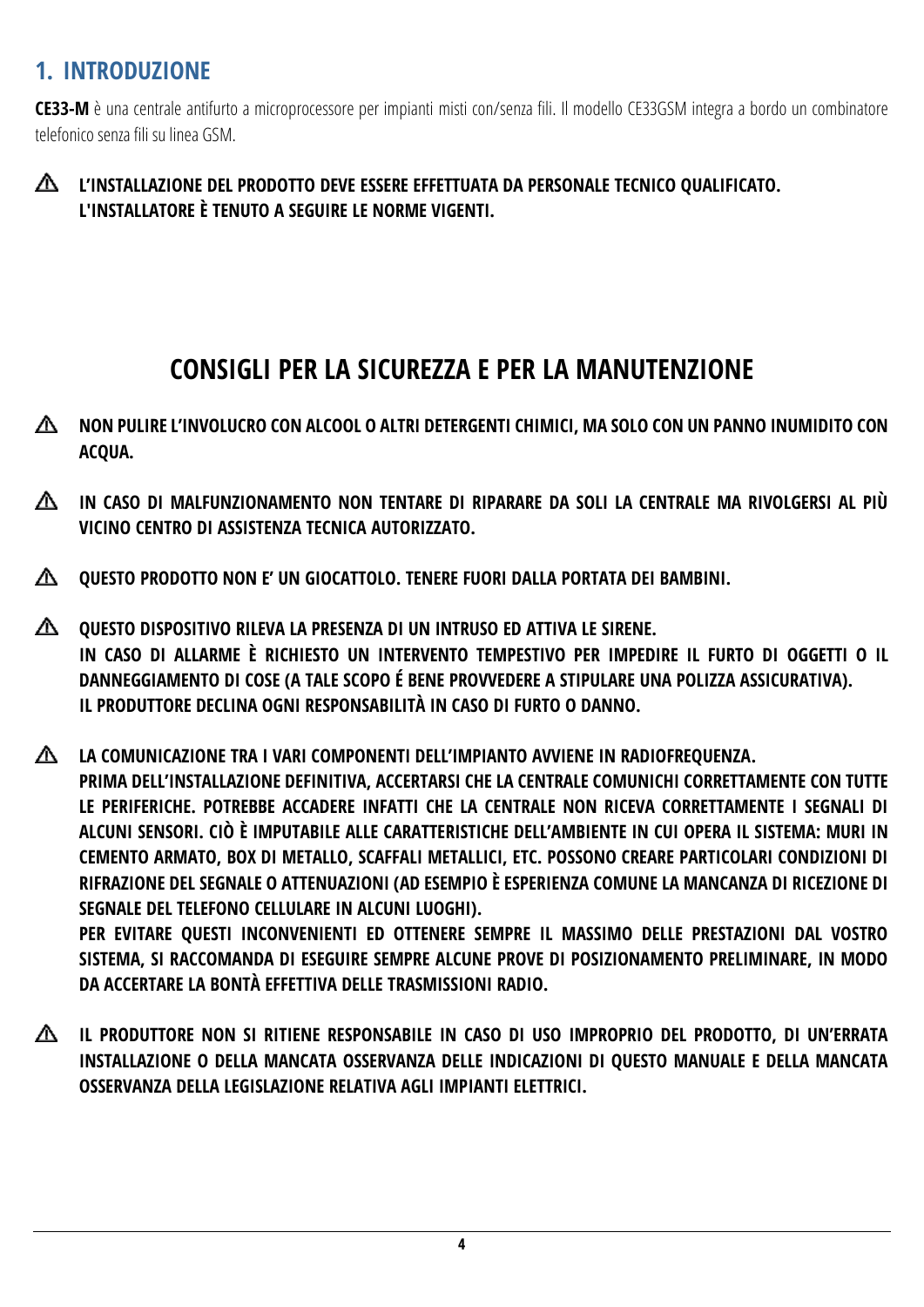## <span id="page-3-0"></span>**1. INTRODUZIONE**

**CE33-M** è una centrale antifurto a microprocessore per impianti misti con/senza fili. Il modello CE33GSM integra a bordo un combinatore telefonico senza fili su linea GSM.

#### ◭ **L'INSTALLAZIONE DEL PRODOTTO DEVE ESSERE EFFETTUATA DA PERSONALE TECNICO QUALIFICATO. L'INSTALLATORE È TENUTO A SEGUIRE LE NORME VIGENTI.**

# **CONSIGLI PER LA SICUREZZA E PER LA MANUTENZIONE**

- **NON PULIRE L'INVOLUCRO CON ALCOOL O ALTRI DETERGENTI CHIMICI, MA SOLO CON UN PANNO INUMIDITO CON**  Δ **ACQUA.**
- ◭ **IN CASO DI MALFUNZIONAMENTO NON TENTARE DI RIPARARE DA SOLI LA CENTRALE MA RIVOLGERSI AL PIÙ VICINO CENTRO DI ASSISTENZA TECNICA AUTORIZZATO.**
- **QUESTO PRODOTTO NON E' UN GIOCATTOLO. TENERE FUORI DALLA PORTATA DEI BAMBINI.**
- **QUESTO DISPOSITIVO RILEVA LA PRESENZA DI UN INTRUSO ED ATTIVA LE SIRENE. IN CASO DI ALLARME È RICHIESTO UN INTERVENTO TEMPESTIVO PER IMPEDIRE IL FURTO DI OGGETTI O IL DANNEGGIAMENTO DI COSE (A TALE SCOPO É BENE PROVVEDERE A STIPULARE UNA POLIZZA ASSICURATIVA). IL PRODUTTORE DECLINA OGNI RESPONSABILITÀ IN CASO DI FURTO O DANNO.**

**LA COMUNICAZIONE TRA I VARI COMPONENTI DELL'IMPIANTO AVVIENE IN RADIOFREQUENZA. PRIMA DELL'INSTALLAZIONE DEFINITIVA, ACCERTARSI CHE LA CENTRALE COMUNICHI CORRETTAMENTE CON TUTTE LE PERIFERICHE. POTREBBE ACCADERE INFATTI CHE LA CENTRALE NON RICEVA CORRETTAMENTE I SEGNALI DI ALCUNI SENSORI. CIÒ È IMPUTABILE ALLE CARATTERISTICHE DELL'AMBIENTE IN CUI OPERA IL SISTEMA: MURI IN CEMENTO ARMATO, BOX DI METALLO, SCAFFALI METALLICI, ETC. POSSONO CREARE PARTICOLARI CONDIZIONI DI RIFRAZIONE DEL SEGNALE O ATTENUAZIONI (AD ESEMPIO È ESPERIENZA COMUNE LA MANCANZA DI RICEZIONE DI SEGNALE DEL TELEFONO CELLULARE IN ALCUNI LUOGHI). PER EVITARE QUESTI INCONVENIENTI ED OTTENERE SEMPRE IL MASSIMO DELLE PRESTAZIONI DAL VOSTRO** 

**SISTEMA, SI RACCOMANDA DI ESEGUIRE SEMPRE ALCUNE PROVE DI POSIZIONAMENTO PRELIMINARE, IN MODO DA ACCERTARE LA BONTÀ EFFETTIVA DELLE TRASMISSIONI RADIO.**

∧ **IL PRODUTTORE NON SI RITIENE RESPONSABILE IN CASO DI USO IMPROPRIO DEL PRODOTTO, DI UN'ERRATA INSTALLAZIONE O DELLA MANCATA OSSERVANZA DELLE INDICAZIONI DI QUESTO MANUALE E DELLA MANCATA OSSERVANZA DELLA LEGISLAZIONE RELATIVA AGLI IMPIANTI ELETTRICI.**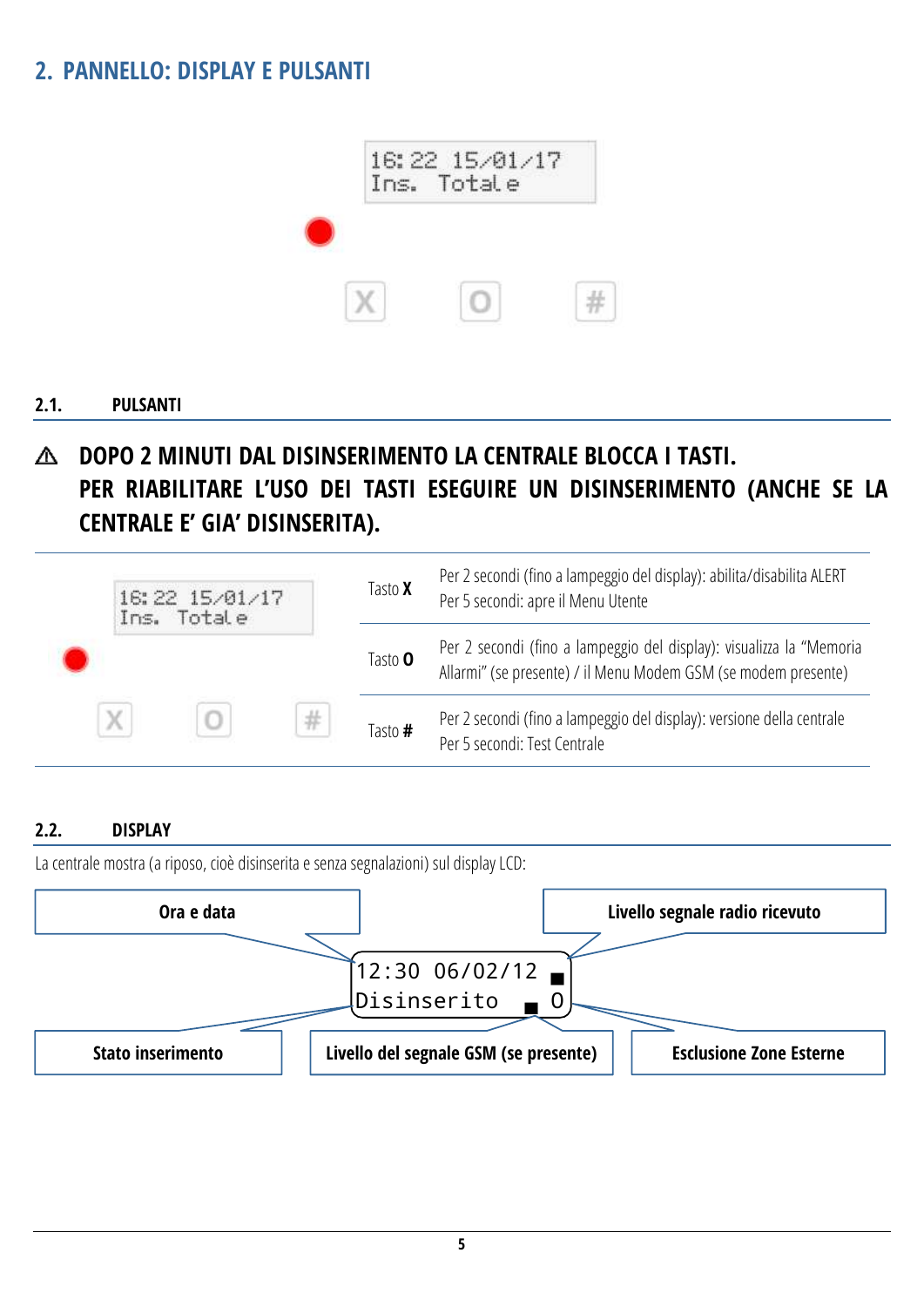## <span id="page-4-0"></span>**2. PANNELLO: DISPLAY E PULSANTI**



#### <span id="page-4-1"></span>**2.1. PULSANTI**

### **DOPO 2 MINUTI DAL DISINSERIMENTO LA CENTRALE BLOCCA I TASTI.** ѧ **PER RIABILITARE L'USO DEI TASTI ESEGUIRE UN DISINSERIMENTO (ANCHE SE LA CENTRALE E' GIA' DISINSERITA).**

|   | 16:22 15/01/17<br>Ins. Totale |   | Tasto <b>X</b> | Per 2 secondi (fino a lampeggio del display): abilita/disabilita ALERT<br>Per 5 secondi: apre il Menu Utente                           |
|---|-------------------------------|---|----------------|----------------------------------------------------------------------------------------------------------------------------------------|
|   |                               |   | Tasto <b>O</b> | Per 2 secondi (fino a lampeggio del display): visualizza la "Memoria<br>Allarmi" (se presente) / il Menu Modem GSM (se modem presente) |
| X |                               | # | Tasto #        | Per 2 secondi (fino a lampeggio del display): versione della centrale<br>Per 5 secondi: Test Centrale                                  |

#### <span id="page-4-2"></span>**2.2. DISPLAY**

La centrale mostra (a riposo, cioè disinserita e senza segnalazioni) sul display LCD:

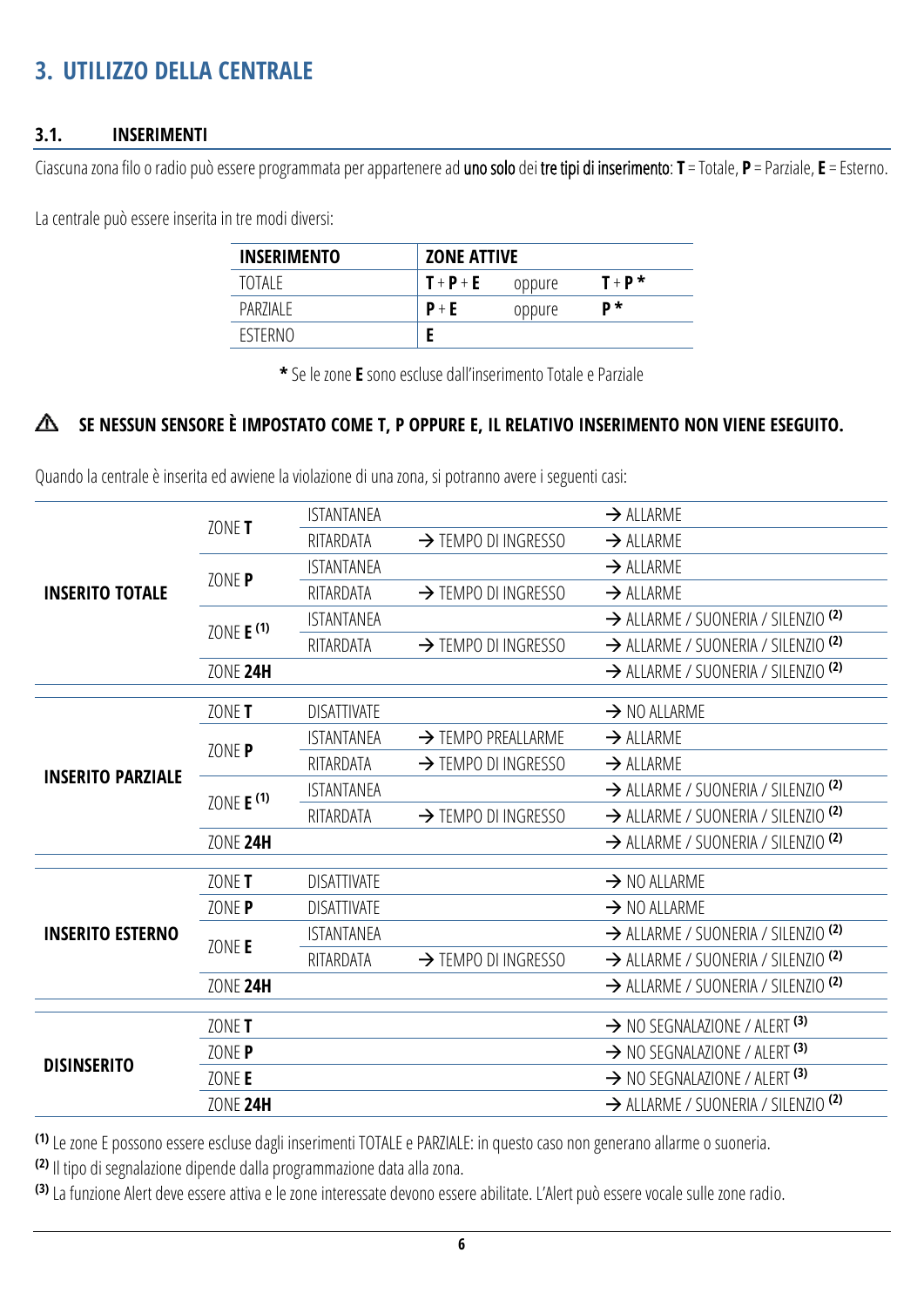## <span id="page-5-0"></span>**3. UTILIZZO DELLA CENTRALE**

#### <span id="page-5-1"></span>**3.1. INSERIMENTI**

Ciascunazona filo o radio può essere programmata per appartenere ad uno solo dei tre tipi di inserimento: **T** = Totale, **P** = Parziale, **E** = Esterno.

La centrale può essere inserita in tre modi diversi:

| <b>INSERIMENTO</b> |         | <b>ZONE ATTIVE</b> |           |  |  |
|--------------------|---------|--------------------|-----------|--|--|
| TOTAI F            | $T+P+E$ | oppure             | $T + P^*$ |  |  |
| PAR7IAI F          | $P + E$ | oppure             | D*        |  |  |
| <b>FSTERNO</b>     |         |                    |           |  |  |

**\*** Se le zone **E** sono escluse dall'inserimento Totale e Parziale

#### **SE NESSUN SENSORE È IMPOSTATO COME T, P OPPURE E, IL RELATIVO INSERIMENTO NON VIENE ESEGUITO.** Δ

Quando la centrale è inserita ed avviene la violazione di una zona, si potranno avere i seguenti casi:

|                          |                         | <b>ISTANTANEA</b>  |                                 | $\rightarrow$ ALLARME                          |
|--------------------------|-------------------------|--------------------|---------------------------------|------------------------------------------------|
|                          | ZONE T                  | RITARDATA          | $\rightarrow$ TEMPO DI INGRESSO | $\rightarrow$ ALLARME                          |
|                          | ZONE P                  | <b>ISTANTANEA</b>  |                                 | $\rightarrow$ ALLARME                          |
| <b>INSERITO TOTALE</b>   |                         | RITARDATA          | $\rightarrow$ TEMPO DI INGRESSO | $\rightarrow$ ALLARME                          |
|                          | ZONE E <sup>(1)</sup>   | <b>ISTANTANEA</b>  |                                 | > ALLARME / SUONERIA / SILENZIO <sup>(2)</sup> |
|                          |                         | RITARDATA          | $\rightarrow$ TEMPO DI INGRESSO | > ALLARME / SUONERIA / SILENZIO <sup>(2)</sup> |
|                          | ZONE 24H                |                    |                                 | > ALLARME / SUONERIA / SILENZIO <sup>(2)</sup> |
|                          |                         |                    |                                 |                                                |
|                          | ZONE T                  | <b>DISATTIVATE</b> |                                 | $\rightarrow$ NO ALLARME                       |
|                          | ZONE P                  | <b>ISTANTANEA</b>  | $\rightarrow$ TEMPO PREALLARME  | $\rightarrow$ ALLARME                          |
|                          |                         | RITARDATA          | $\rightarrow$ TEMPO DI INGRESSO | $\rightarrow$ ALLARME                          |
| <b>INSERITO PARZIALE</b> | ZONE $E$ <sup>(1)</sup> | <b>ISTANTANEA</b>  |                                 | > ALLARME / SUONERIA / SILENZIO <sup>(2)</sup> |
|                          |                         | RITARDATA          | $\rightarrow$ TEMPO DI INGRESSO | > ALLARME / SUONERIA / SILENZIO <sup>(2)</sup> |
|                          | <b>ZONE 24H</b>         |                    |                                 | > ALLARME / SUONERIA / SILENZIO <sup>(2)</sup> |
|                          | ZONE T                  | <b>DISATTIVATE</b> |                                 | $\rightarrow$ NO ALLARME                       |
|                          | ZONE P                  | <b>DISATTIVATE</b> |                                 | $\rightarrow$ NO ALLARME                       |
| <b>INSERITO ESTERNO</b>  |                         | <b>ISTANTANEA</b>  |                                 | > ALLARME / SUONERIA / SILENZIO <sup>(2)</sup> |
|                          | ZONE E                  | RITARDATA          | $\rightarrow$ TEMPO DI INGRESSO | > ALLARME / SUONERIA / SILENZIO <sup>(2)</sup> |
|                          | ZONE 24H                |                    |                                 | > ALLARME / SUONERIA / SILENZIO <sup>(2)</sup> |
|                          |                         |                    |                                 |                                                |
|                          | ZONE T                  |                    |                                 | $\rightarrow$ NO SEGNALAZIONE / ALERT (3)      |
| <b>DISINSERITO</b>       | ZONE P                  |                    |                                 | $\rightarrow$ NO SEGNALAZIONE / ALERT (3)      |
|                          | ZONE E                  |                    |                                 | $\rightarrow$ NO SEGNALAZIONE / ALERT (3)      |
|                          | <b>ZONE 24H</b>         |                    |                                 | > ALLARME / SUONERIA / SILENZIO <sup>(2)</sup> |

**(1)** Le zone E possono essere escluse dagli inserimenti TOTALE e PARZIALE: in questo caso non generano allarme o suoneria.

**(2)** Il tipo di segnalazione dipende dalla programmazione data alla zona.

**(3)** La funzione Alert deve essere attiva e le zone interessate devono essere abilitate. L'Alert può essere vocale sulle zone radio.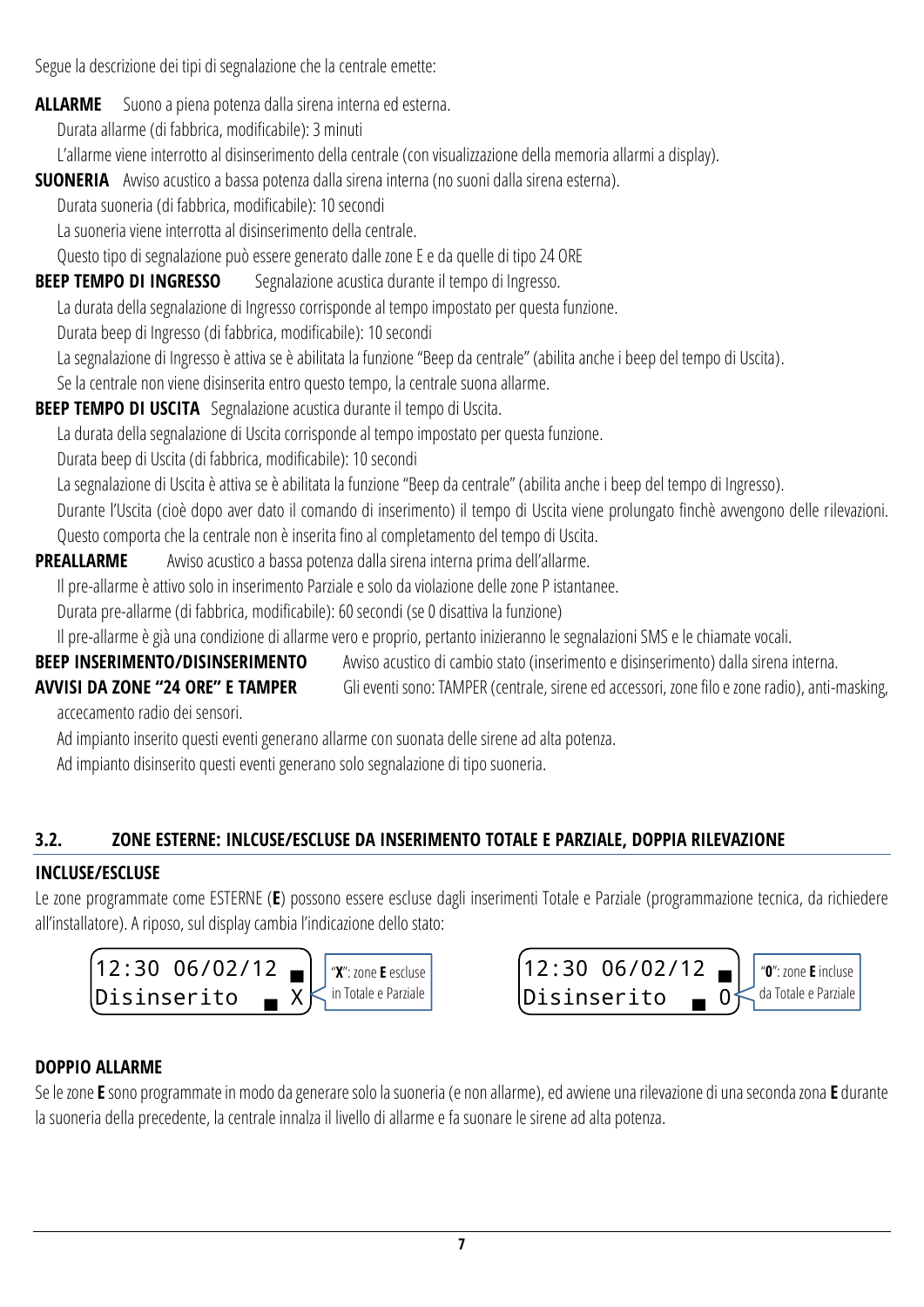Segue la descrizione dei tipi di segnalazione che la centrale emette:

**ALLARME** Suono a piena potenza dalla sirena interna ed esterna.

Durata allarme (di fabbrica, modificabile): 3 minuti

L'allarme viene interrotto al disinserimento della centrale (con visualizzazione della memoria allarmi a display).

**SUONERIA** Awiso acustico a bassa potenza dalla sirena interna (no suoni dalla sirena esterna).

Durata suoneria (di fabbrica, modificabile): 10 secondi

La suoneria viene interrotta al disinserimento della centrale.

Questo tipo di segnalazione può essere generato dalle zone E e da quelle di tipo 24 ORE

**BEEP TEMPO DI INGRESSO** Segnalazione acustica durante il tempo di Ingresso.

La durata della segnalazione di Ingresso corrisponde al tempo impostato per questa funzione.

Durata beep di Ingresso (di fabbrica, modificabile): 10 secondi

La segnalazione di Ingresso è attiva se è abilitata la funzione "Beep da centrale" (abilita anche i beep del tempo di Uscita).

Se la centrale non viene disinserita entro questo tempo, la centrale suona allarme.

**BEEP TEMPO DI USCITA** Segnalazione acustica durante il tempo di Uscita.

La durata della segnalazione di Uscita corrisponde al tempo impostato per questa funzione.

Durata beep di Uscita (di fabbrica, modificabile): 10 secondi

La segnalazione di Uscita è attiva se è abilitata la funzione "Beep da centrale" (abilita anche i beep del tempo di Ingresso).

Durante l'Uscita (cioè dopo aver dato il comando di inserimento) il tempo di Uscita viene prolungato finchè avvengono delle rilevazioni. Questo comporta che la centrale non è inserita fino al completamento del tempo di Uscita.

## **PREALLARME** Avviso acustico a bassa potenza dalla sirena interna prima dell'allarme.

Il pre-allarme è attivo solo in inserimento Parziale e solo da violazione delle zone P istantanee.

Durata pre-allarme (di fabbrica, modificabile): 60 secondi (se 0 disattiva la funzione)

Il pre-allarme è già una condizione di allarme vero e proprio, pertanto inizieranno le segnalazioni SMS e le chiamate vocali.

**BEEP INSERIMENTO/DISINSERIMENTO** Avviso acustico di cambio stato (inserimento e disinserimento) dalla sirena interna.

- **AVVISI DA ZONE "24 ORE" E TAMPER** Gli eventi sono: TAMPER (centrale, sirene ed accessori, zone filo e zone radio), anti-masking,
- 

accecamento radio dei sensori.

Ad impianto inserito questi eventi generano allarme con suonata delle sirene ad alta potenza.

Ad impianto disinserito questi eventi generano solo segnalazione di tipo suoneria.

## <span id="page-6-0"></span>**3.2. ZONE ESTERNE: INLCUSE/ESCLUSE DA INSERIMENTO TOTALE E PARZIALE, DOPPIA RILEVAZIONE**

## **INCLUSE/ESCLUSE**

Le zone programmate come ESTERNE (**E**) possono essere escluse dagli inserimenti Totale e Parziale (programmazione tecnica, da richiedere all'installatore). A riposo, sul display cambia l'indicazione dello stato:





## **DOPPIO ALLARME**

Se le zone **E** sono programmate in modo da generare solo la suoneria (e non allarme), ed avviene una rilevazione di una seconda zona **E** durante la suoneria della precedente, la centrale innalza il livello di allarme e fa suonare le sirene ad alta potenza.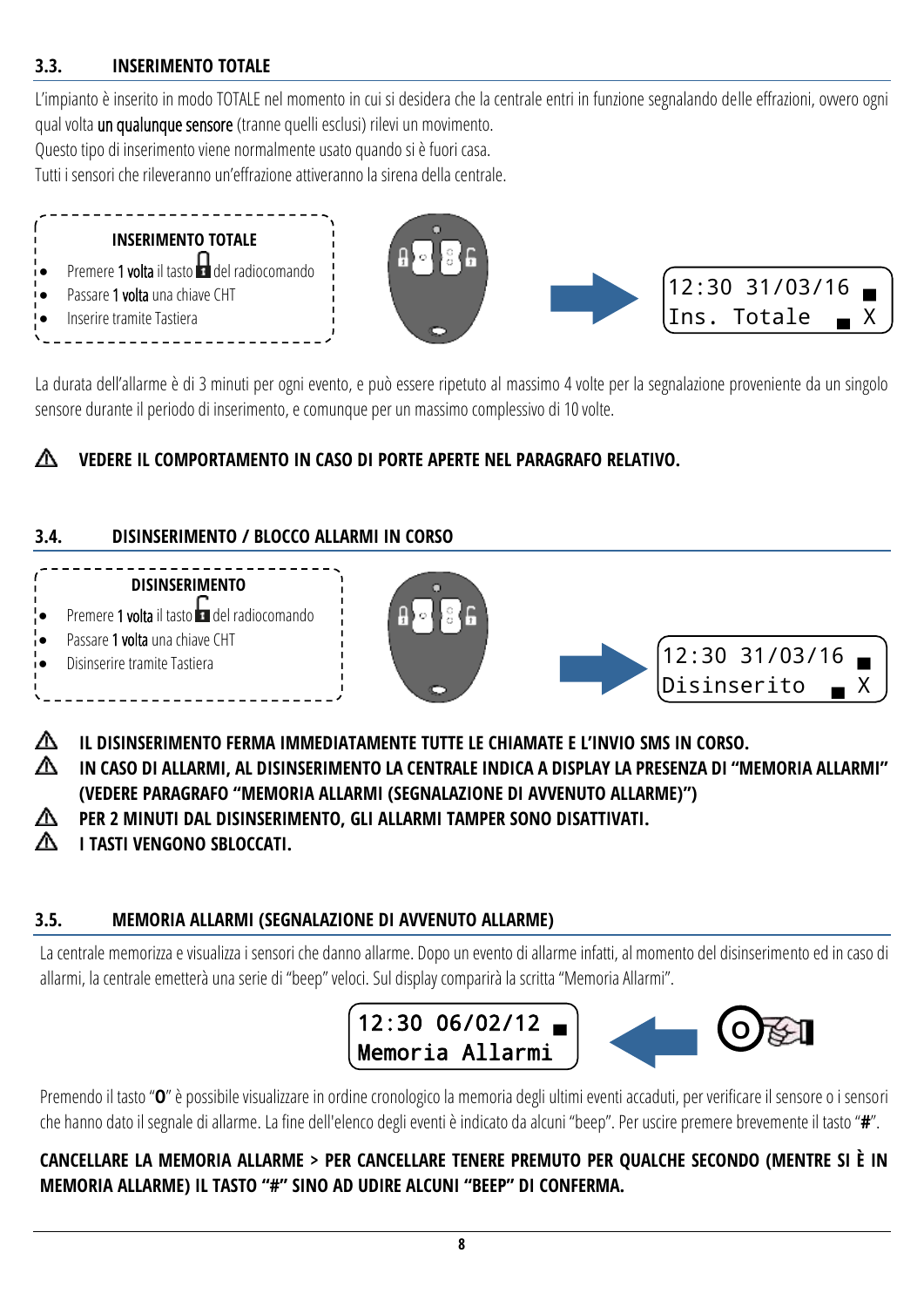### <span id="page-7-0"></span>**3.3. INSERIMENTO TOTALE**

L'impianto è inserito in modo TOTALE nel momento in cui si desidera che la centrale entri in funzione segnalando delle effrazioni, ovvero ogni qual volta un qualunque sensore (tranne quelli esclusi) rilevi un movimento.

Questo tipo di inserimento viene normalmente usato quando si è fuori casa.

Tutti i sensori che rileveranno un'effrazione attiveranno la sirena della centrale.



La durata dell'allarme è di 3 minuti per ogni evento, e può essere ripetuto al massimo 4 volte per la segnalazione proveniente da un singolo sensore durante il periodo di inserimento, e comunque per un massimo complessivo di 10 volte.

#### ѧ **VEDERE IL COMPORTAMENTO IN CASO DI PORTE APERTE NEL PARAGRAFO RELATIVO.**

## <span id="page-7-1"></span>**3.4. DISINSERIMENTO / BLOCCO ALLARMI IN CORSO**



∧ **IL DISINSERIMENTO FERMA IMMEDIATAMENTE TUTTE LE CHIAMATE E L'INVIO SMS IN CORSO. IN CASO DI ALLARMI, AL DISINSERIMENTO LA CENTRALE INDICA A DISPLAY LA PRESENZA DI "MEMORIA ALLARMI" (VEDERE PARAGRAFO "MEMORIA ALLARMI [\(SEGNALAZIONE DI AVVENUTO ALLARME\)](#page-7-2)") PER 2 MINUTI DAL DISINSERIMENTO, GLI ALLARMI TAMPER SONO DISATTIVATI.** ѧ **I TASTI VENGONO SBLOCCATI.**

### <span id="page-7-2"></span>**3.5. MEMORIA ALLARMI (SEGNALAZIONE DI AVVENUTO ALLARME)**

La centrale memorizza e visualizza i sensori che danno allarme. Dopo un evento di allarme infatti, al momento del disinserimento ed in caso di allarmi, la centrale emetterà una serie di "beep" veloci. Sul display comparirà la scritta "Memoria Allarmi".



Premendo il tasto "**O**" è possibile visualizzare in ordine cronologico la memoria degli ultimi eventi accaduti, per verificare il sensore o i sensori che hanno dato il segnale di allarme. La fine dell'elenco degli eventi è indicato da alcuni "beep". Per uscire premere brevemente il tasto "**#**".

**CANCELLARE LA MEMORIA ALLARME > PER CANCELLARE TENERE PREMUTO PER QUALCHE SECONDO (MENTRE SI È IN MEMORIA ALLARME) IL TASTO "#" SINO AD UDIRE ALCUNI "BEEP" DI CONFERMA.**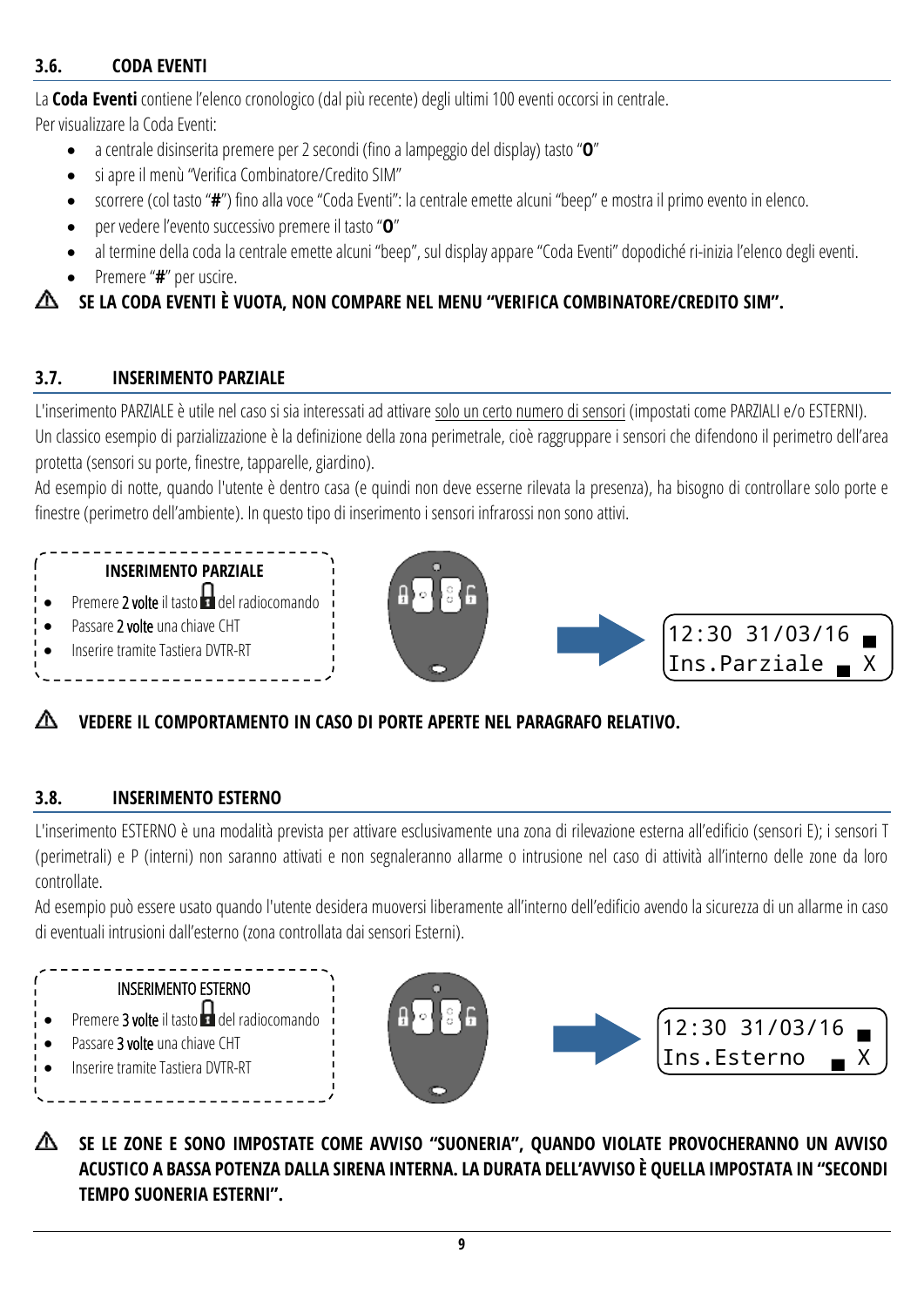### <span id="page-8-0"></span>**3.6. CODA EVENTI**

La **Coda Eventi** contiene l'elenco cronologico (dal più recente) degli ultimi 100 eventi occorsi in centrale.

Per visualizzare la Coda Eventi:

- a centrale disinserita premere per 2 secondi (fino a lampeggio del display) tasto "**O**"
- si apre il menù "Verifica Combinatore/Credito SIM"
- scorrere (col tasto "**#**") fino alla voce "Coda Eventi": la centrale emette alcuni "beep" e mostra il primo evento in elenco.
- per vedere l'evento successivo premere il tasto "**O**"
- al termine della coda la centrale emette alcuni "beep", sul display appare "Coda Eventi" dopodiché ri-inizia l'elenco degli eventi.
- Premere "**#**" per uscire.

## **SE LA CODA EVENTI È VUOTA, NON COMPARE NEL MENU "VERIFICA COMBINATORE/CREDITO SIM".**

### <span id="page-8-1"></span>**3.7. INSERIMENTO PARZIALE**

L'inserimento PARZIALE è utile nel caso si sia interessati ad attivare solo un certo numero di sensori (impostati come PARZIALI e/o ESTERNI). Un classico esempio di parzializzazione è la definizione della zona perimetrale, cioè raggruppare i sensori che difendono il perimetro dell'area protetta (sensori su porte, finestre, tapparelle, giardino).

Ad esempio di notte, quando l'utente è dentro casa (e quindi non deve esserne rilevata la presenza), ha bisogno di controllare solo porte e finestre (perimetro dell'ambiente). In questo tipo di inserimento i sensori infrarossi non sono attivi.

### **INSERIMENTO PARZIALE**

- $\bullet$  Premere 2 volte il tasto del radiocomando
- Passare 2 volte una chiave CHT
- Inserire tramite Tastiera DVTR-RT





## **VEDERE IL COMPORTAMENTO IN CASO DI PORTE APERTE NEL PARAGRAFO RELATIVO.**

### <span id="page-8-2"></span>**3.8. INSERIMENTO ESTERNO**

L'inserimento ESTERNO è una modalità prevista per attivare esclusivamente una zona di rilevazione esterna all'edificio (sensori E); i sensori T (perimetrali) e P (interni) non saranno attivati e non segnaleranno allarme o intrusione nel caso di attività all'interno delle zone da loro controllate.

Ad esempio può essere usato quando l'utente desidera muoversi liberamente all'interno dell'edificio avendo la sicurezza di un allarme in caso di eventuali intrusioni dall'esterno (zona controllata dai sensori Esterni).







**SE LE ZONE E SONO IMPOSTATE COME AVVISO "SUONERIA", QUANDO VIOLATE PROVOCHERANNO UN AVVISO ACUSTICO A BASSA POTENZA DALLA SIRENA INTERNA. LA DURATA DELL'AVVISO È QUELLA IMPOSTATA IN "SECONDI TEMPO SUONERIA ESTERNI".**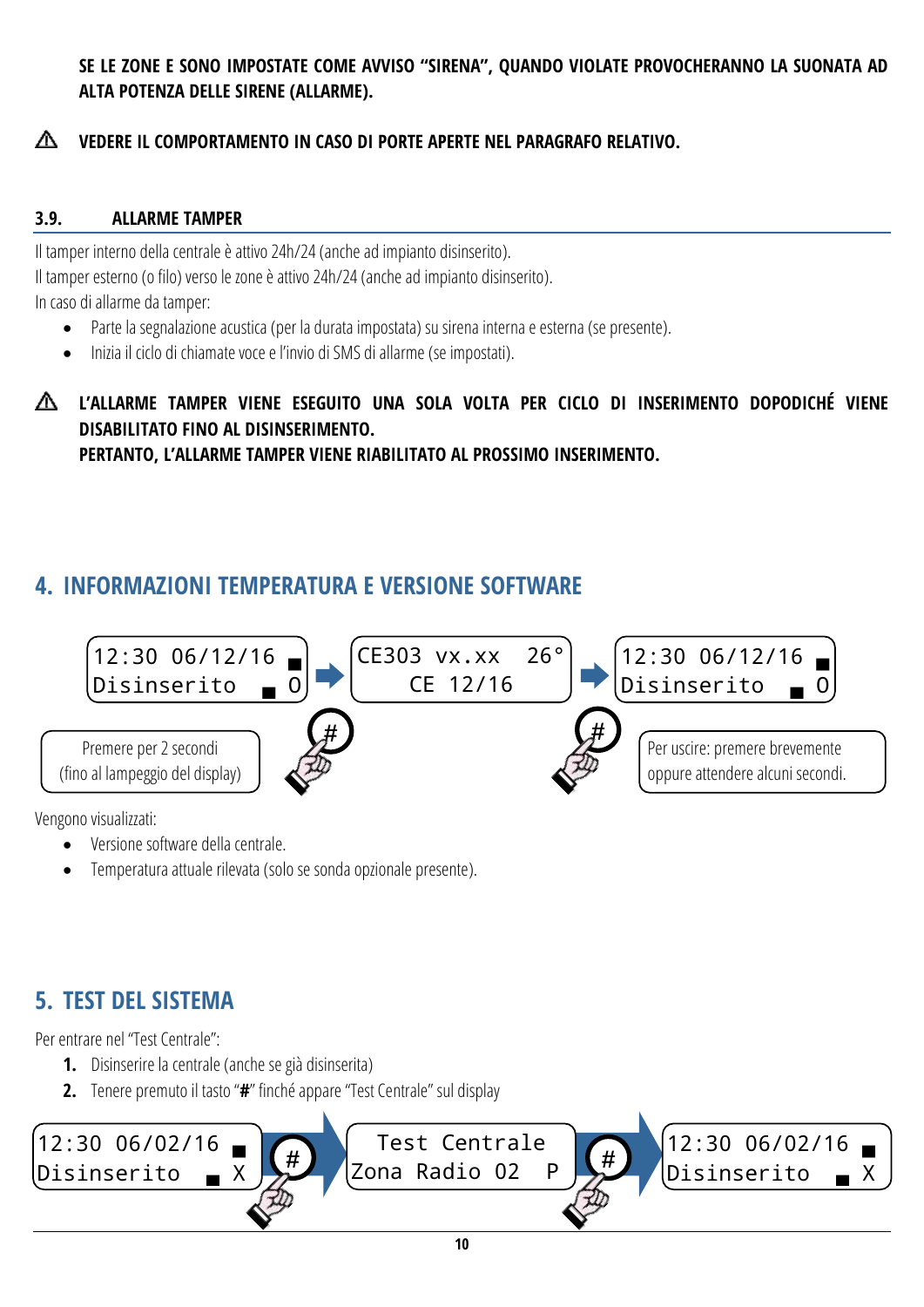### **SE LE ZONE E SONO IMPOSTATE COME AVVISO "SIRENA", QUANDO VIOLATE PROVOCHERANNO LA SUONATA AD ALTA POTENZA DELLE SIRENE (ALLARME).**

#### ∧ **VEDERE IL COMPORTAMENTO IN CASO DI PORTE APERTE NEL PARAGRAFO RELATIVO.**

### <span id="page-9-0"></span>**3.9. ALLARME TAMPER**

Il tamper interno della centrale è attivo 24h/24 (anche ad impianto disinserito). Il tamper esterno (o filo) verso le zone è attivo 24h/24 (anche ad impianto disinserito). In caso di allarme da tamper:

- Parte la segnalazione acustica (per la durata impostata) su sirena interna e esterna (se presente).
- Inizia il ciclo di chiamate voce e l'invio di SMS di allarme (se impostati).
- **L'ALLARME TAMPER VIENE ESEGUITO UNA SOLA VOLTA PER CICLO DI INSERIMENTO DOPODICHÉ VIENE DISABILITATO FINO AL DISINSERIMENTO. PERTANTO, L'ALLARME TAMPER VIENE RIABILITATO AL PROSSIMO INSERIMENTO.**

## <span id="page-9-1"></span>**4. INFORMAZIONI TEMPERATURA E VERSIONE SOFTWARE**



Vengono visualizzati:

- Versione software della centrale.
- Temperatura attuale rilevata (solo se sonda opzionale presente).

## <span id="page-9-2"></span>**5. TEST DEL SISTEMA**

Per entrare nel "Test Centrale":

- **1.** Disinserire la centrale (anche se già disinserita)
- **2.** Tenere premuto il tasto "**#**" finché appare "Test Centrale" sul display

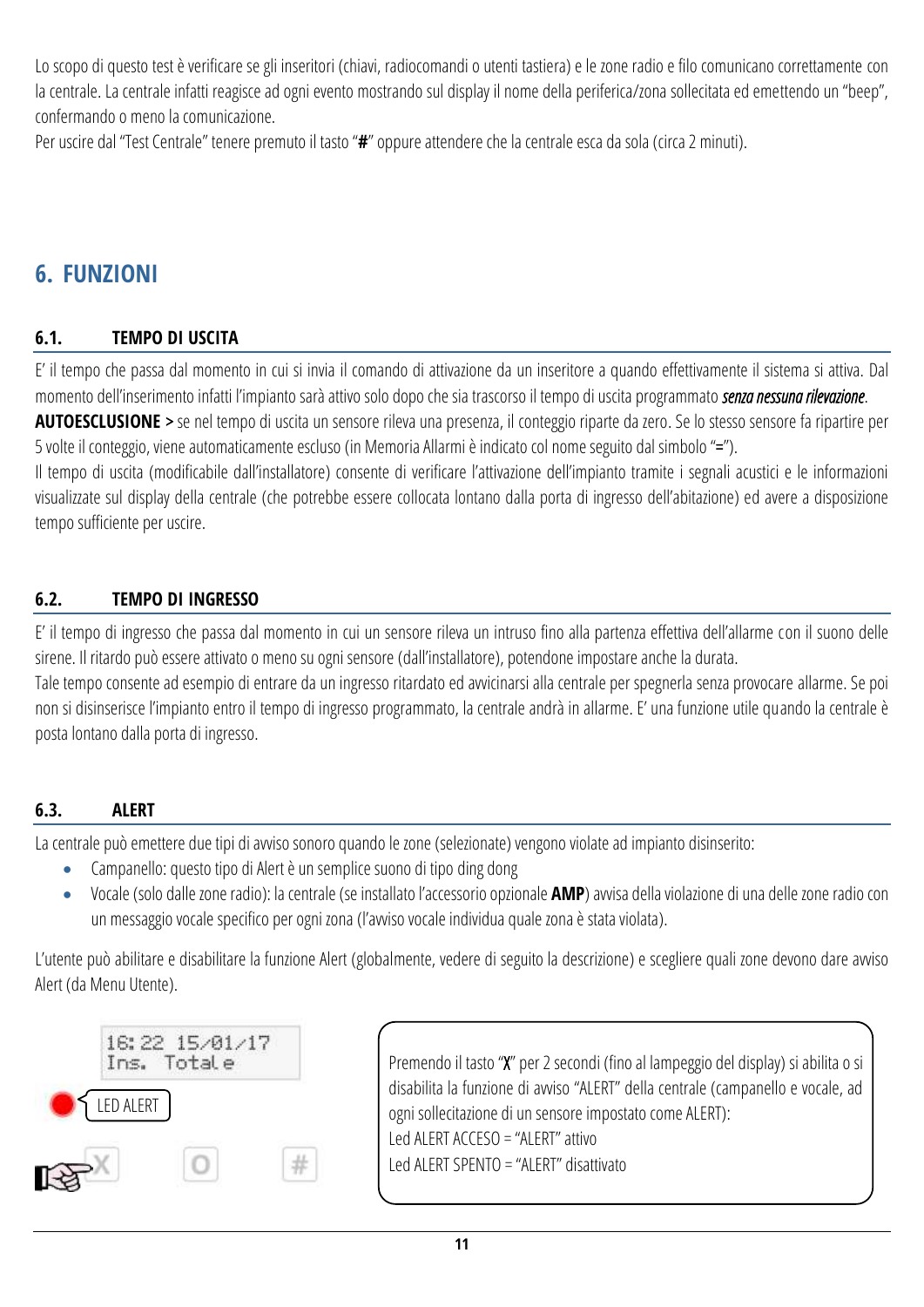Lo scopo di questo test è verificare se gli inseritori (chiavi, radiocomandi o utenti tastiera) e le zone radio e filo comunicano correttamente con la centrale. La centrale infatti reagisce ad ogni evento mostrando sul display il nome della periferica/zona sollecitata ed emettendo un "beep", confermando o meno la comunicazione.

Per uscire dal "Test Centrale" tenere premuto il tasto "**#**" oppure attendere che la centrale esca da sola (circa 2 minuti).

## <span id="page-10-0"></span>**6. FUNZIONI**

### <span id="page-10-1"></span>**6.1. TEMPO DI USCITA**

E' il tempo che passa dal momento in cui si invia il comando di attivazione da un inseritore a quando effettivamente il sistema si attiva. Dal momento dell'inserimento infatti l'impianto sarà attivo solo dopo che sia trascorso il tempo di uscita programmato *senza nessuna rilevazione*.

**AUTOESCLUSIONE** > se nel tempo di uscita un sensore rileva una presenza, il conteggio riparte da zero. Se lo stesso sensore fa ripartire per 5 volte il conteggio, viene automaticamente escluso (in Memoria Allarmi è indicato col nome seguito dal simbolo "=").

Il tempo di uscita (modificabile dall'installatore) consente di verificare l'attivazione dell'impianto tramite i segnali acustici e le informazioni visualizzate sul display della centrale (che potrebbe essere collocata lontano dalla porta di ingresso dell'abitazione) ed avere a disposizione tempo sufficiente per uscire.

#### <span id="page-10-2"></span>**6.2. TEMPO DI INGRESSO**

E' il tempo di ingresso che passa dal momento in cui un sensore rileva un intruso fino alla partenza effettiva dell'allarme con il suono delle sirene. Il ritardo può essere attivato o meno su ogni sensore (dall'installatore), potendone impostare anche la durata.

Tale tempo consente ad esempio di entrare da un ingresso ritardato ed avvicinarsi alla centrale per spegnerla senza provocare allarme. Se poi non si disinserisce l'impianto entro il tempo di ingresso programmato, la centrale andrà in allarme. E' una funzione utile quando la centrale è posta lontano dalla porta di ingresso.

#### <span id="page-10-3"></span>**6.3. ALERT**

La centrale può emettere due tipi di avviso sonoro quando le zone (selezionate) vengono violate ad impianto disinserito:

- Campanello: questo tipo di Alert è un semplice suono di tipo ding dong
- Vocale (solo dallezone radio): la centrale (se installato l'accessorio opzionale **AMP**) avvisa della violazione di una delle zone radio con un messaggio vocale specifico per ogni zona (l'avviso vocale individua quale zonaè stata violata).

L'utente può abilitare e disabilitare la funzione Alert (globalmente, vedere di seguito la descrizione) e scegliere quali zone devono dare avviso Alert (da Menu Utente).



Premendo il tasto "X" per 2 secondi (fino al lampeggio del display) si abilita o si disabilita la funzione di avviso "ALERT" della centrale (campanello e vocale, ad ogni sollecitazione di un sensore impostato come ALERT): Led ALERT ACCESO = "ALERT" attivo Led ALERTSPENTO = "ALERT" disattivato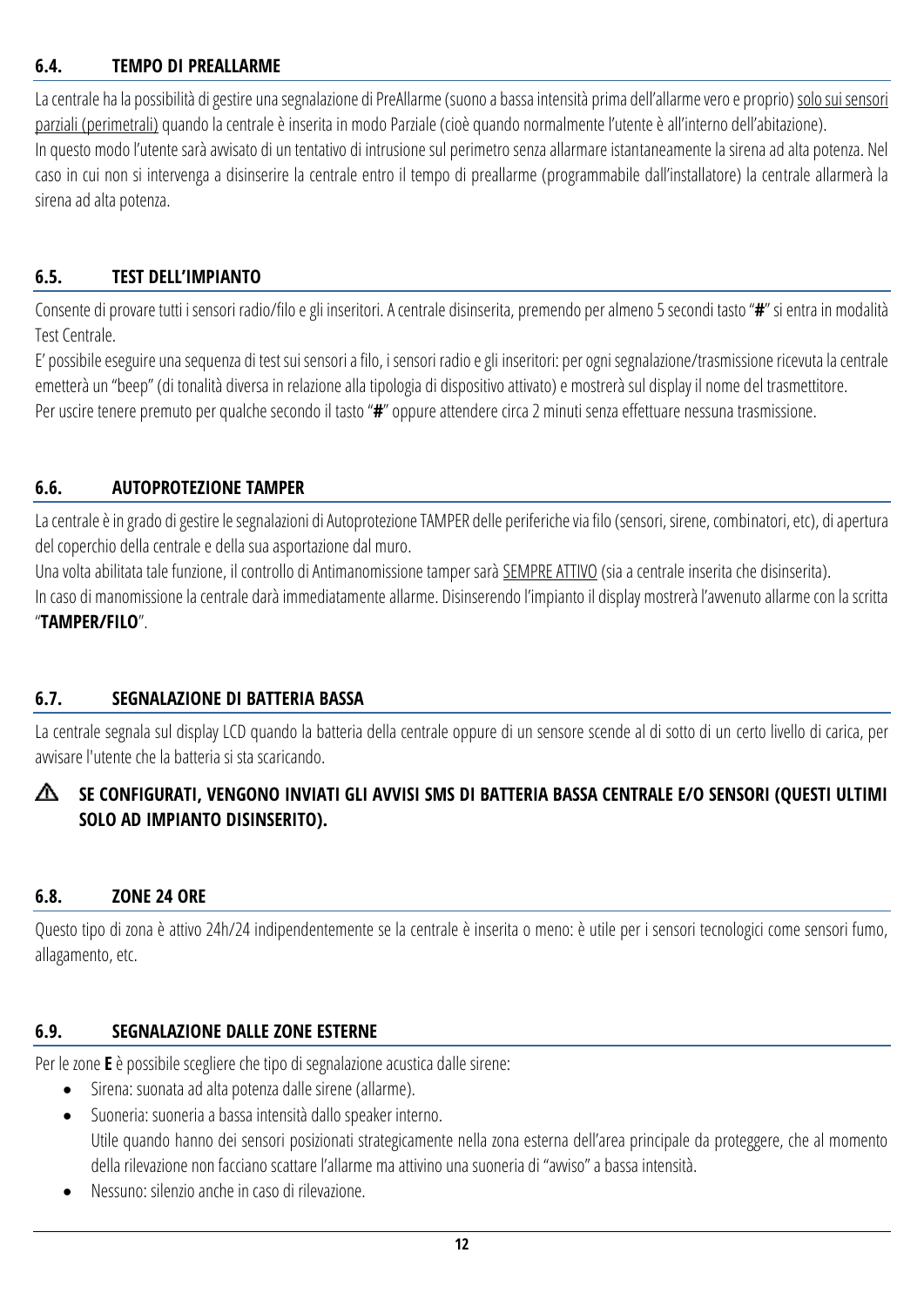#### <span id="page-11-0"></span>**6.4. TEMPO DI PREALLARME**

La centrale ha la possibilità di gestire una segnalazione di PreAllarme (suono a bassa intensità prima dell'allarme vero e proprio) solo sui sensori parziali (perimetrali) quando la centrale è inserita in modo Parziale (cioè quando normalmente l'utente è all'interno dell'abitazione). In questo modo l'utente sarà avvisato di un tentativo di intrusione sul perimetro senza allarmare istantaneamente la sirena ad alta potenza. Nel caso in cui non si intervenga a disinserire la centrale entro il tempo di preallarme (programmabile dall'installatore) la centrale allarmerà la sirena ad alta potenza.

#### <span id="page-11-1"></span>**6.5. TEST DELL'IMPIANTO**

Consente di provare tutti i sensori radio/filo e gli inseritori. A centrale disinserita, premendo per almeno 5 secondi tasto "**#**" si entra in modalità Test Centrale.

E' possibile eseguire una sequenza di test sui sensori a filo, i sensori radio e gli inseritori: per ogni segnalazione/trasmissione ricevuta la centrale emetterà un "beep" (di tonalità diversa in relazione alla tipologia di dispositivo attivato) e mostrerà sul display il nome del trasmettitore. Per uscire tenere premuto per qualche secondo il tasto "**#**" oppure attendere circa 2 minuti senza effettuare nessuna trasmissione.

#### <span id="page-11-2"></span>**6.6. AUTOPROTEZIONE TAMPER**

La centrale è in grado di gestire le segnalazioni di Autoprotezione TAMPER delle periferiche via filo (sensori, sirene, combinatori, etc), di apertura del coperchio della centrale e della sua asportazione dal muro.

Una volta abilitata tale funzione, il controllo di Antimanomissione tamper sarà SEMPRE ATTIVO (sia a centrale inserita che disinserita).

In caso di manomissione la centrale darà immediatamente allarme. Disinserendo l'impianto il display mostrerà l'avvenuto allarme con la scritta "**TAMPER/FILO**".

#### <span id="page-11-3"></span>**6.7. SEGNALAZIONE DI BATTERIA BASSA**

La centrale segnala sul display LCD quando la batteria della centrale oppure di un sensore scende al di sotto di un certo livello di carica, per avvisare l'utente che la batteria si sta scaricando.

#### ∧ **SE CONFIGURATI, VENGONO INVIATI GLI AVVISI SMS DI BATTERIA BASSA CENTRALE E/O SENSORI (QUESTI ULTIMI SOLO AD IMPIANTO DISINSERITO).**

#### <span id="page-11-4"></span>**6.8. ZONE 24 ORE**

Questo tipo di zona è attivo 24h/24 indipendentemente se la centrale è inserita o meno: è utile per i sensori tecnologici come sensori fumo, allagamento, etc.

#### <span id="page-11-5"></span>**6.9. SEGNALAZIONE DALLE ZONE ESTERNE**

Per le zone **E** è possibile scegliere che tipo di segnalazione acustica dalle sirene:

- Sirena: suonata ad alta potenza dalle sirene (allarme).
- Suoneria: suoneria a bassa intensità dallo speaker interno. Utile quando hanno dei sensori posizionati strategicamente nella zona esterna dell'area principale da proteggere, che al momento della rilevazione non facciano scattare l'allarme ma attivino una suoneria di "avviso" a bassa intensità.
- Nessuno: silenzio anche in caso di rilevazione.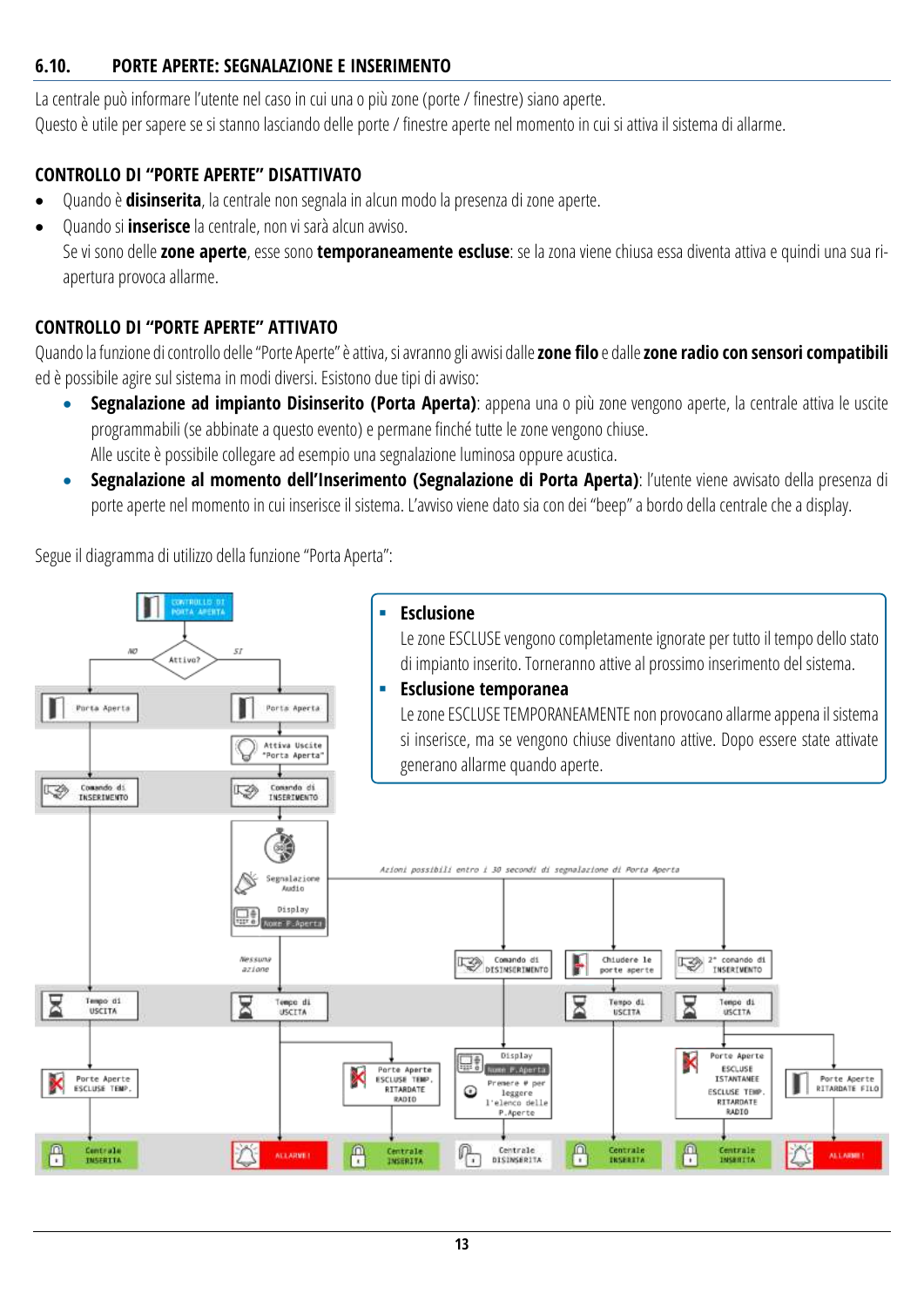#### <span id="page-12-0"></span>**6.10. PORTE APERTE: SEGNALAZIONE E INSERIMENTO**

La centrale può informare l'utente nel caso in cui una o più zone (porte / finestre) siano aperte. Questo è utile per sapere se si stanno lasciando delle porte/ finestre aperte nel momento in cui si attiva il sistema di allarme.

#### **CONTROLLO DI "PORTE APERTE" DISATTIVATO**

- Quando è **disinserita**, la centrale non segnala in alcun modo la presenza di zone aperte.
- Quando si **inserisce** la centrale, non vi sarà alcun avviso.

Se vi sono delle **zone aperte**, esse sono **temporaneamente escluse**: se la zona viene chiusa essa diventa attiva e quindi una sua riapertura provoca allarme.

#### **CONTROLLO DI "PORTE APERTE" ATTIVATO**

Quando la funzione di controllo delle "Porte Aperte" è attiva, si avranno gli avvisi dalle **zone filo** e dalle **zone radio con sensori compatibili** ed è possibile agire sul sistema in modi diversi. Esistono due tipi di avviso:

- **Segnalazione ad impianto Disinserito (Porta Aperta)**: appena una o più zone vengono aperte, la centrale attiva le uscite programmabili (se abbinate a questo evento) e permane finché tutte le zone vengono chiuse. Alle uscite è possibile collegare ad esempio una segnalazione luminosa oppure acustica.
- **Segnalazione al momento dell'Inserimento (Segnalazione di Porta Aperta)**: l'utente viene avvisato della presenza di porte aperte nel momento in cui inserisce il sistema. L'avviso viene dato sia con dei "beep" a bordo della centrale che a display.

Segue il diagramma di utilizzo della funzione "Porta Aperta":

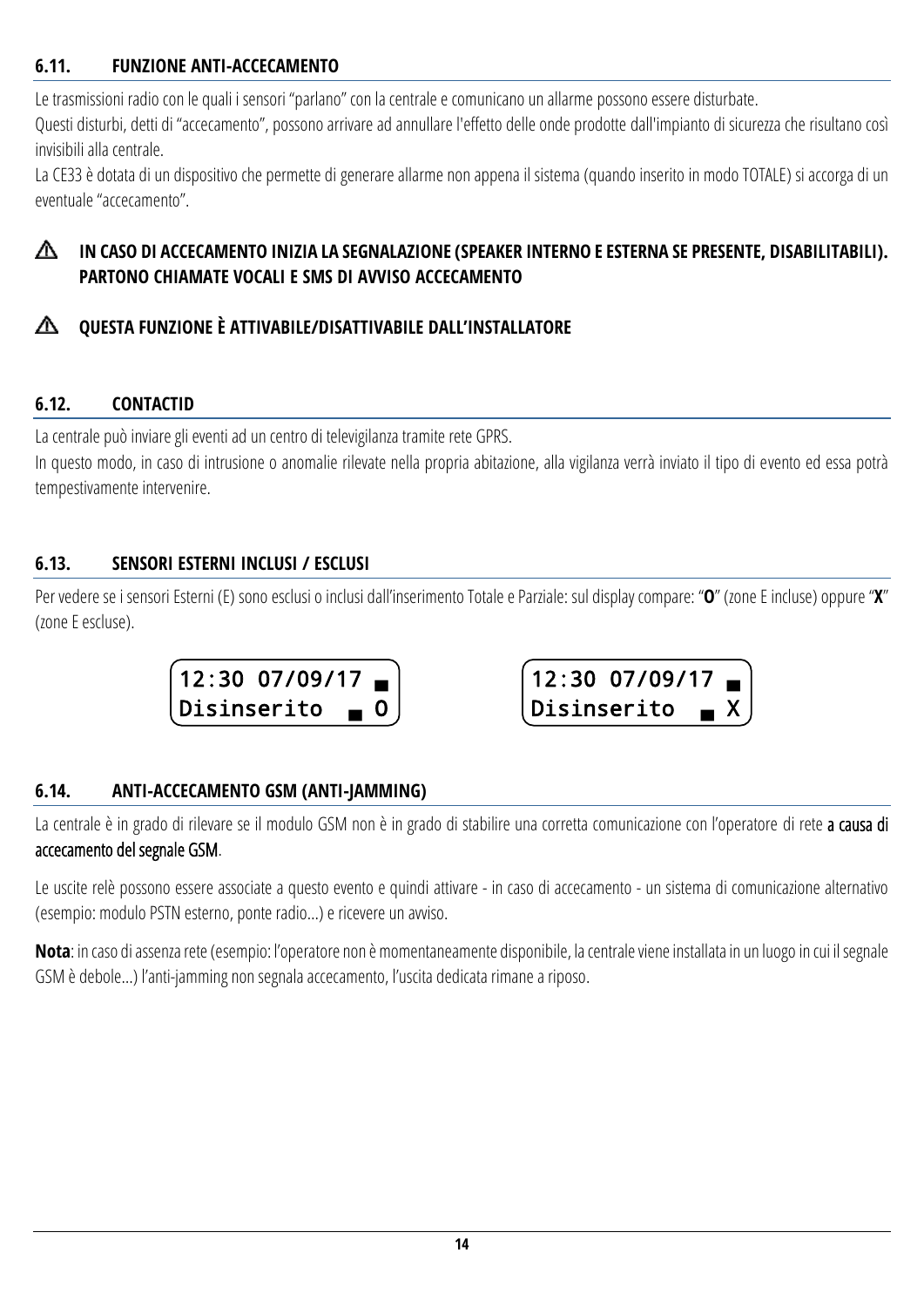#### <span id="page-13-0"></span>**6.11. FUNZIONE ANTI-ACCECAMENTO**

Le trasmissioni radio con le quali i sensori "parlano" con la centrale e comunicano un allarme possono essere disturbate.

Questi disturbi, detti di "accecamento", possono arrivare ad annullare l'effetto delle onde prodotte dall'impianto di sicurezza che risultano così invisibili alla centrale.

La CE33 è dotata di un dispositivo che permette di generare allarme non appena il sistema (quando inserito in modo TOTALE) si accorga di un eventuale "accecamento".

#### ∧ **IN CASO DI ACCECAMENTO INIZIA LA SEGNALAZIONE (SPEAKER INTERNO E ESTERNA SE PRESENTE, DISABILITABILI). PARTONO CHIAMATE VOCALI E SMS DI AVVISO ACCECAMENTO**

#### **QUESTA FUNZIONE È ATTIVABILE/DISATTIVABILE DALL'INSTALLATORE** ⚠

### <span id="page-13-1"></span>**6.12. CONTACTID**

La centrale può inviare gli eventi ad un centro di televigilanza tramite rete GPRS.

In questo modo, in caso di intrusione o anomalie rilevate nella propria abitazione, alla vigilanza verrà inviato il tipo di evento ed essa potrà tempestivamente intervenire.

### <span id="page-13-2"></span>**6.13. SENSORI ESTERNI INCLUSI / ESCLUSI**

Per vedere se i sensori Esterni (E) sono esclusi o inclusi dall'inserimento Totale e Parziale: sul display compare: "**O**" (zoneE incluse) oppure "**X**" (zone E escluse).





### <span id="page-13-3"></span>**6.14. ANTI-ACCECAMENTO GSM (ANTI-JAMMING)**

La centrale è in grado di rilevare se il modulo GSM non è in grado di stabilire una corretta comunicazione con l'operatore di rete a causa di accecamento del segnale GSM.

Le uscite relè possono essere associate a questo evento e quindi attivare - in caso di accecamento - un sistema di comunicazione alternativo (esempio: modulo PSTN esterno, ponte radio…) e ricevere un avviso.

**Nota**: in caso di assenza rete (esempio: l'operatore non è momentaneamente disponibile, la centrale viene installata in un luogo in cui il segnale GSM è debole…) l'anti-jamming non segnala accecamento, l'uscita dedicata rimane a riposo.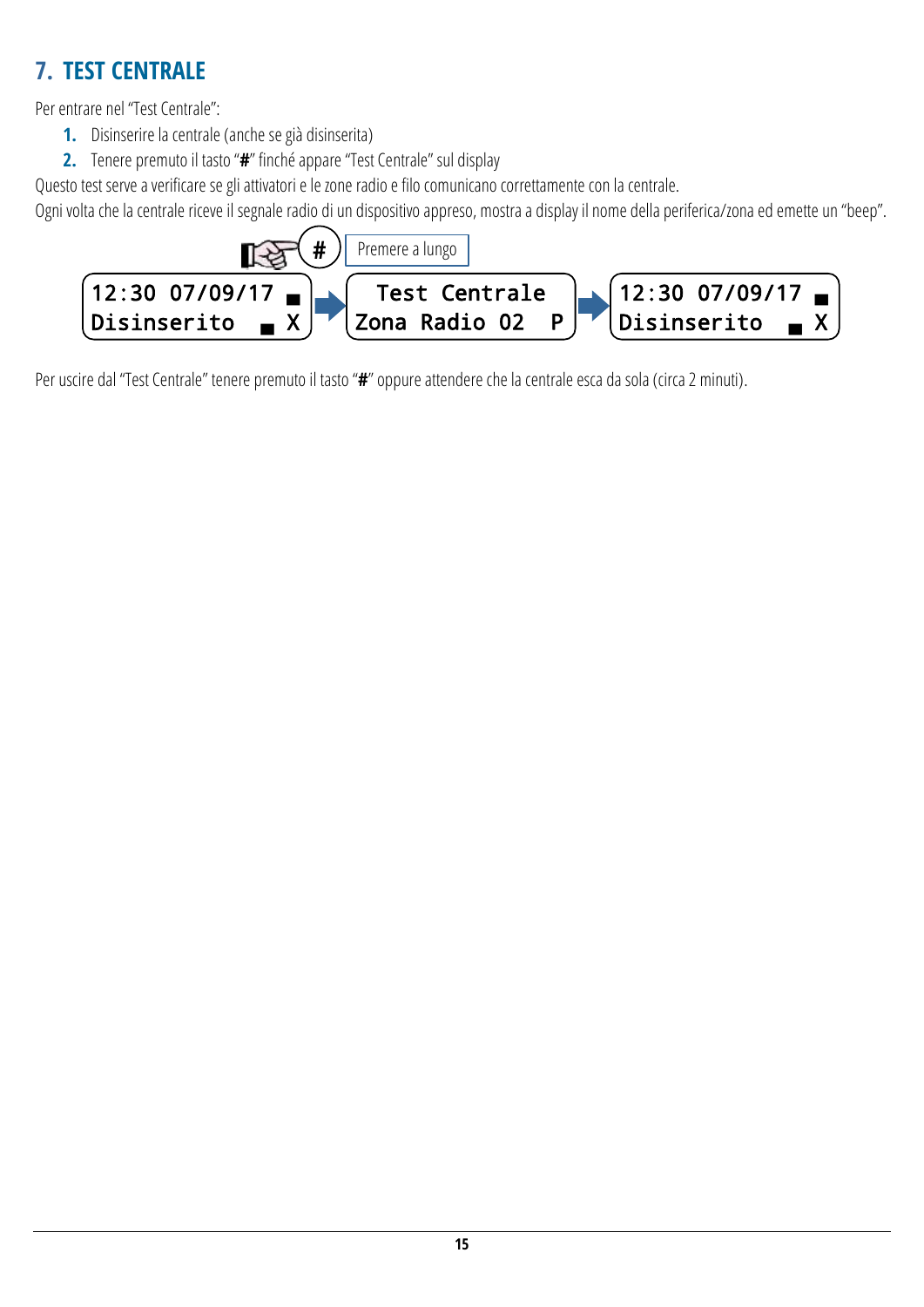## <span id="page-14-0"></span>**7. TEST CENTRALE**

Per entrare nel "Test Centrale":

- **1.** Disinserire la centrale (anche se già disinserita)
- **2.** Tenere premuto il tasto "**#**" finché appare "Test Centrale" sul display

Questo test serve a verificare se gli attivatori e le zone radio e filo comunicano correttamente con la centrale.

Ogni volta che la centrale riceve il segnale radio di un dispositivo appreso, mostra a display il nome della periferica/zona ed emette un "beep".



Per uscire dal "Test Centrale" tenere premuto il tasto "**#**" oppure attendere che la centrale esca da sola (circa 2 minuti).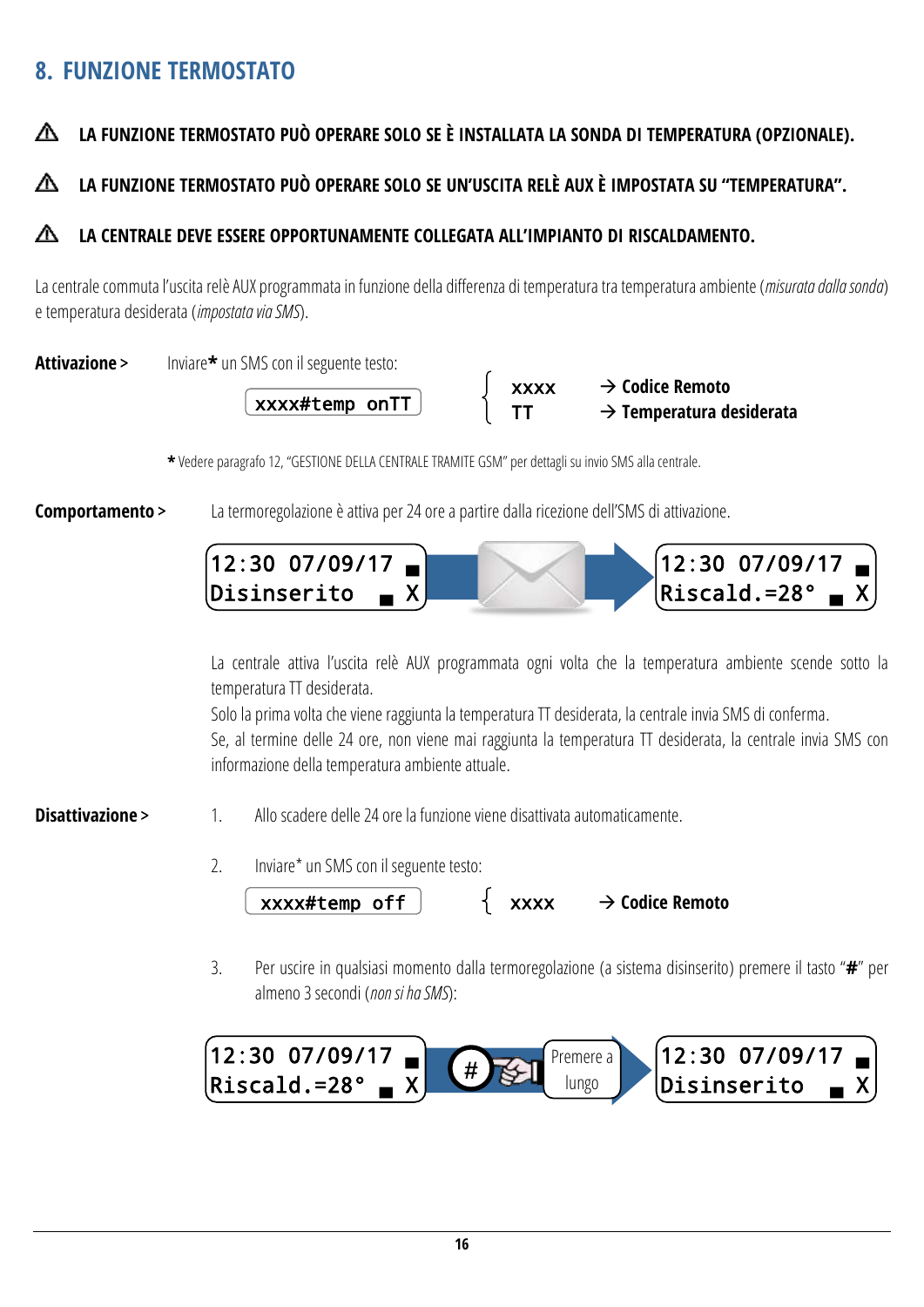## <span id="page-15-0"></span>**8. FUNZIONE TERMOSTATO**

#### Δ **LA FUNZIONE TERMOSTATO PUÒ OPERARE SOLO SE È INSTALLATA LA SONDA DI TEMPERATURA (OPZIONALE).**

#### **LA FUNZIONE TERMOSTATO PUÒ OPERARE SOLO SE UN'USCITA RELÈ AUX È IMPOSTATA SU "TEMPERATURA".** ∧

#### ∧ **LA CENTRALE DEVE ESSERE OPPORTUNAMENTE COLLEGATA ALL'IMPIANTO DI RISCALDAMENTO.**

La centrale commuta l'uscita relè AUX programmata in funzione della differenza di temperatura tra temperatura ambiente (*misurata dalla sonda*) e temperatura desiderata (*impostata via SMS*).

**Attivazione** > Inviare**\*** un SMS con il seguente testo:





**\*** Vedere paragraf[o 12](#page-24-0), "[GESTIONE DELLA CENTRALE TRAMITE GSM](#page-24-0)" per dettagli su invio SMS alla centrale.

**Comportamento** > La termoregolazione è attiva per 24 ore a partire dalla ricezione dell'SMS di attivazione.



La centrale attiva l'uscita relè AUX programmata ogni volta che la temperatura ambiente scende sotto la temperatura TT desiderata.

Solo la prima volta che viene raggiunta la temperatura TT desiderata, la centrale invia SMS di conferma. Se, al termine delle 24 ore, non viene mai raggiunta la temperatura TT desiderata, la centrale invia SMS con informazione della temperatura ambiente attuale.

- **Disattivazione** > 1. Allo scadere delle 24 ore la funzione viene disattivata automaticamente.
	- 2. Inviare\* un SMS con il seguente testo:

**xxxx#temp off |**  $\uparrow$  **xxxx → Codice Remoto** 

3. Per uscire in qualsiasi momento dalla termoregolazione (a sistema disinserito) premere il tasto "**#**" per almeno 3 secondi (*non si ha SMS*):

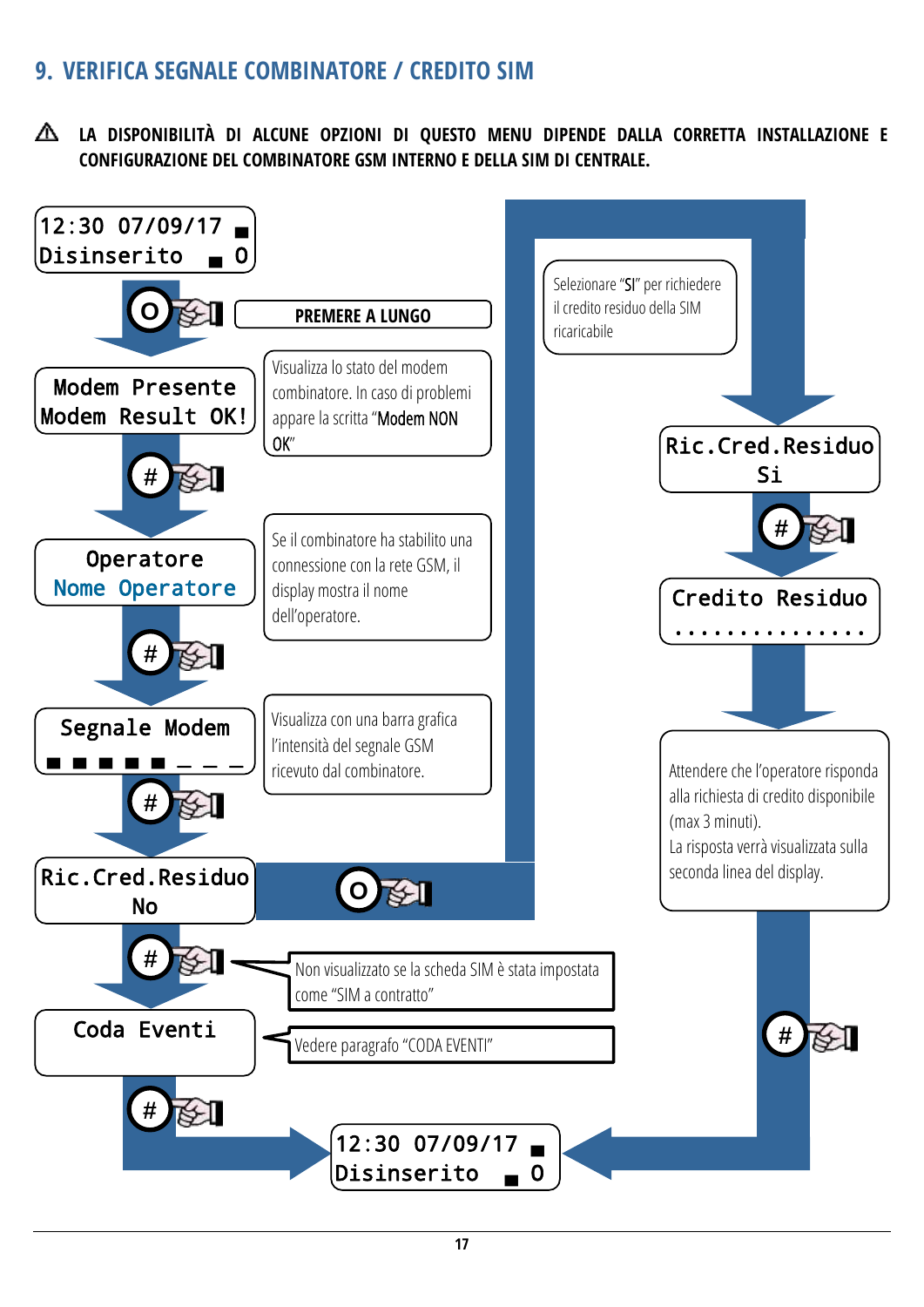## <span id="page-16-0"></span>**9. VERIFICA SEGNALE COMBINATORE / CREDITO SIM**

**LA DISPONIBILITÀ DI ALCUNE OPZIONI DI QUESTO MENU DIPENDE DALLA CORRETTA INSTALLAZIONE E CONFIGURAZIONE DEL COMBINATORE GSM INTERNO E DELLA SIM DI CENTRALE.**

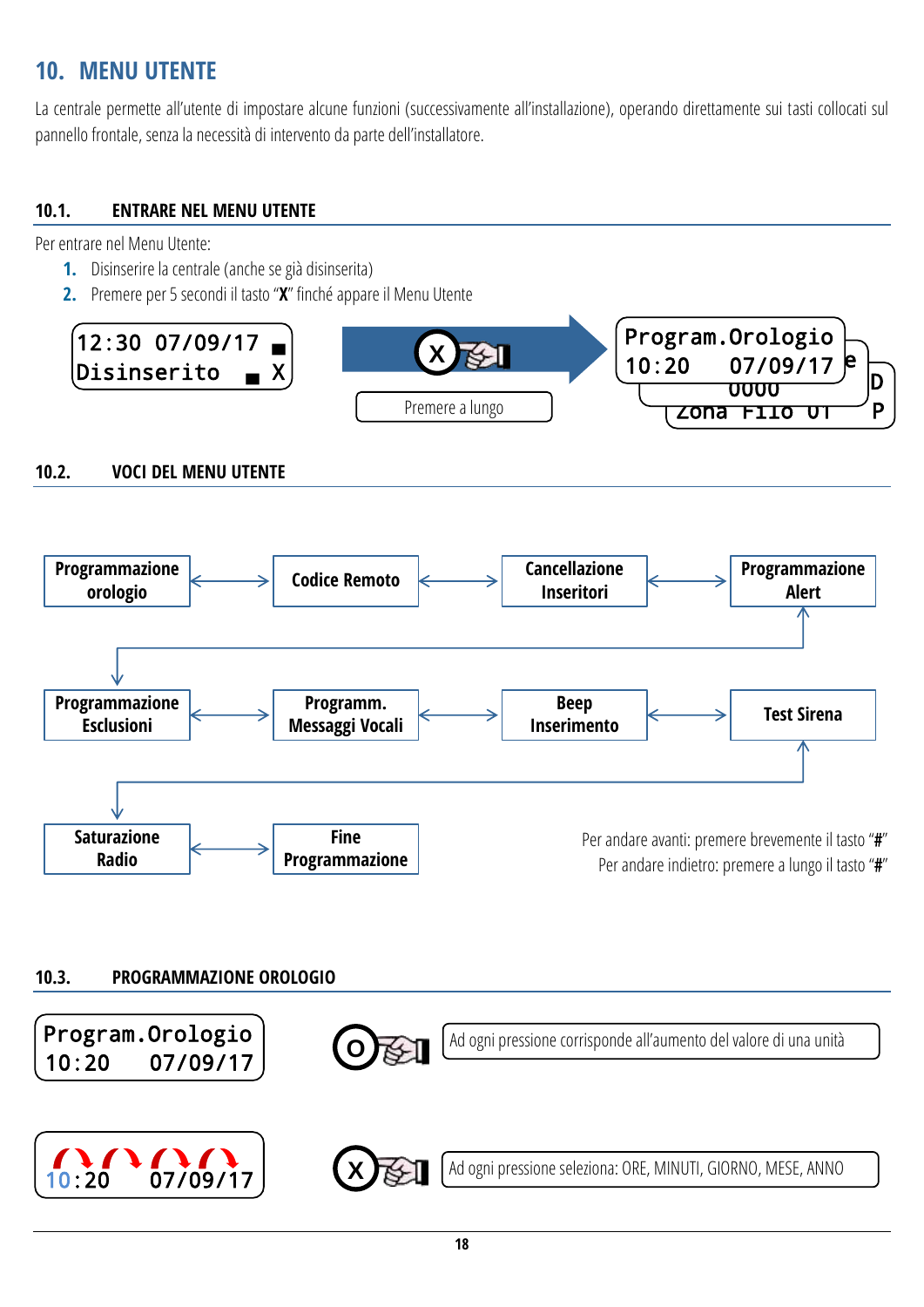## <span id="page-17-0"></span>**10. MENU UTENTE**

La centrale permette all'utente di impostare alcune funzioni (successivamente all'installazione), operando direttamente sui tasti collocati sul pannello frontale, senza la necessità di intervento da parte dell'installatore.

#### <span id="page-17-1"></span>**10.1. ENTRARE NEL MENU UTENTE**

Per entrare nel Menu Utente:

- **1.** Disinserire la centrale (anche se già disinserita)
- **2.** Premere per 5 secondi il tasto "**X**" finché appare il Menu Utente



#### <span id="page-17-2"></span>**10.2. VOCI DEL MENU UTENTE**



#### <span id="page-17-3"></span>**10.3. PROGRAMMAZIONE OROLOGIO**

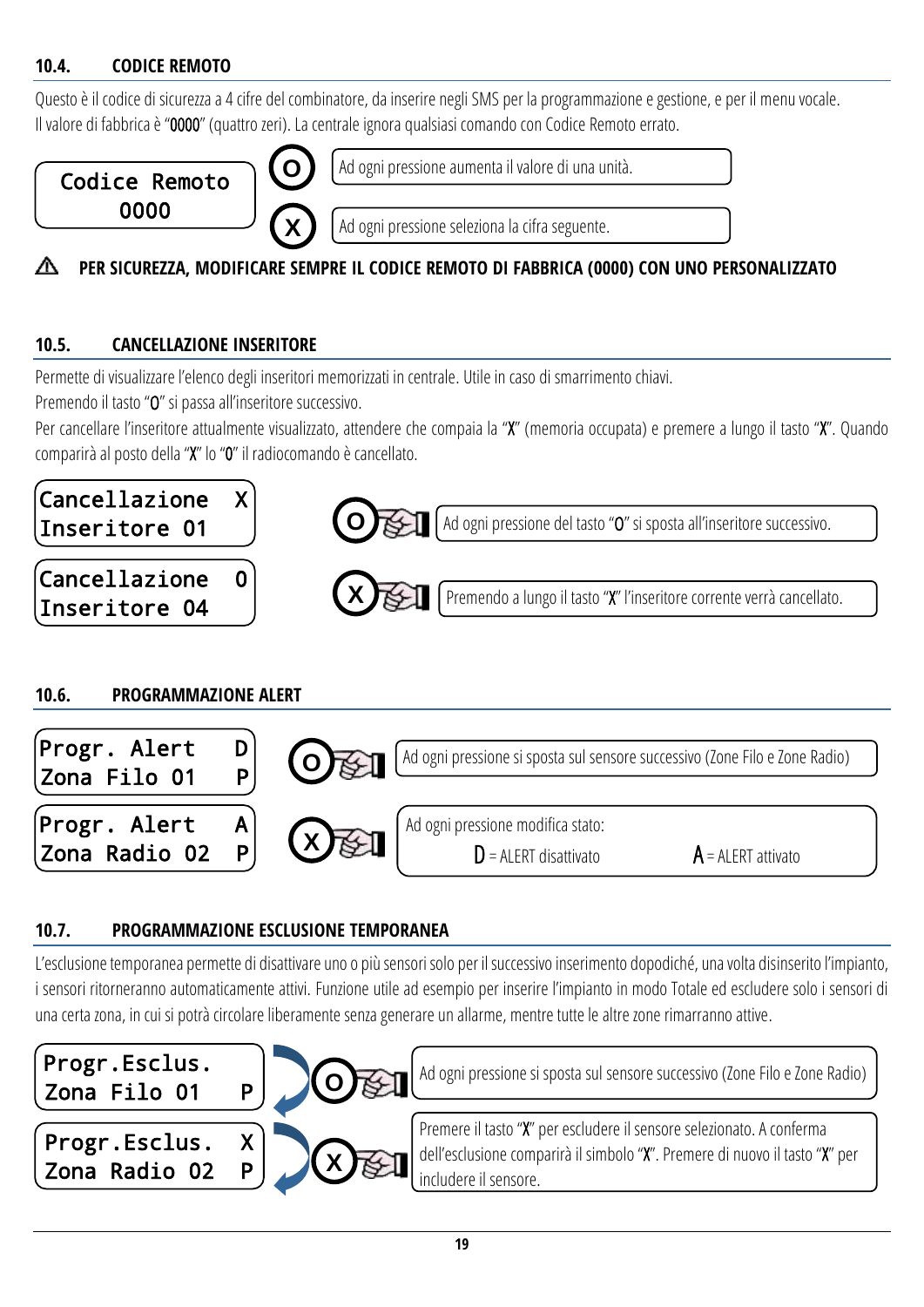#### <span id="page-18-0"></span>**10.4. CODICE REMOTO**

Questo è il codice di sicurezza a 4 cifre del combinatore, da inserire negli SMS per la programmazione e gestione, e per il menu vocale. Il valore di fabbrica è "0000" (quattro zeri). La centrale ignora qualsiasi comando con Codice Remoto errato.



Ad ogni pressione aumenta il valore di una unità.

Ad ogni pressione seleziona la cifra seguente.

#### **PER SICUREZZA, MODIFICARE SEMPRE IL CODICE REMOTO DI FABBRICA (0000) CON UNO PERSONALIZZATO** ⋀

#### <span id="page-18-1"></span>**10.5. CANCELLAZIONE INSERITORE**

Permette di visualizzare l'elenco degli inseritori memorizzati in centrale. Utile in caso di smarrimento chiavi.

Premendo il tasto "O" si passa all'inseritore successivo.

Per cancellare l'inseritore attualmente visualizzato, attendere che compaia la "X" (memoria occupata) e premere a lungo il tasto "X". Quando comparirà al posto della "X" lo "0" il radiocomando è cancellato.



#### <span id="page-18-2"></span>**10.6. PROGRAMMAZIONE ALERT**



#### <span id="page-18-3"></span>**10.7. PROGRAMMAZIONE ESCLUSIONE TEMPORANEA**

L'esclusione temporanea permette di disattivare uno o più sensori solo per il successivo inserimento dopodiché, una volta disinserito l'impianto, i sensori ritorneranno automaticamente attivi. Funzione utile ad esempio per inserire l'impianto in modo Totale ed escludere solo i sensori di una certa zona, in cui si potrà circolare liberamente senza generare un allarme, mentre tutte le altre zone rimarranno attive.

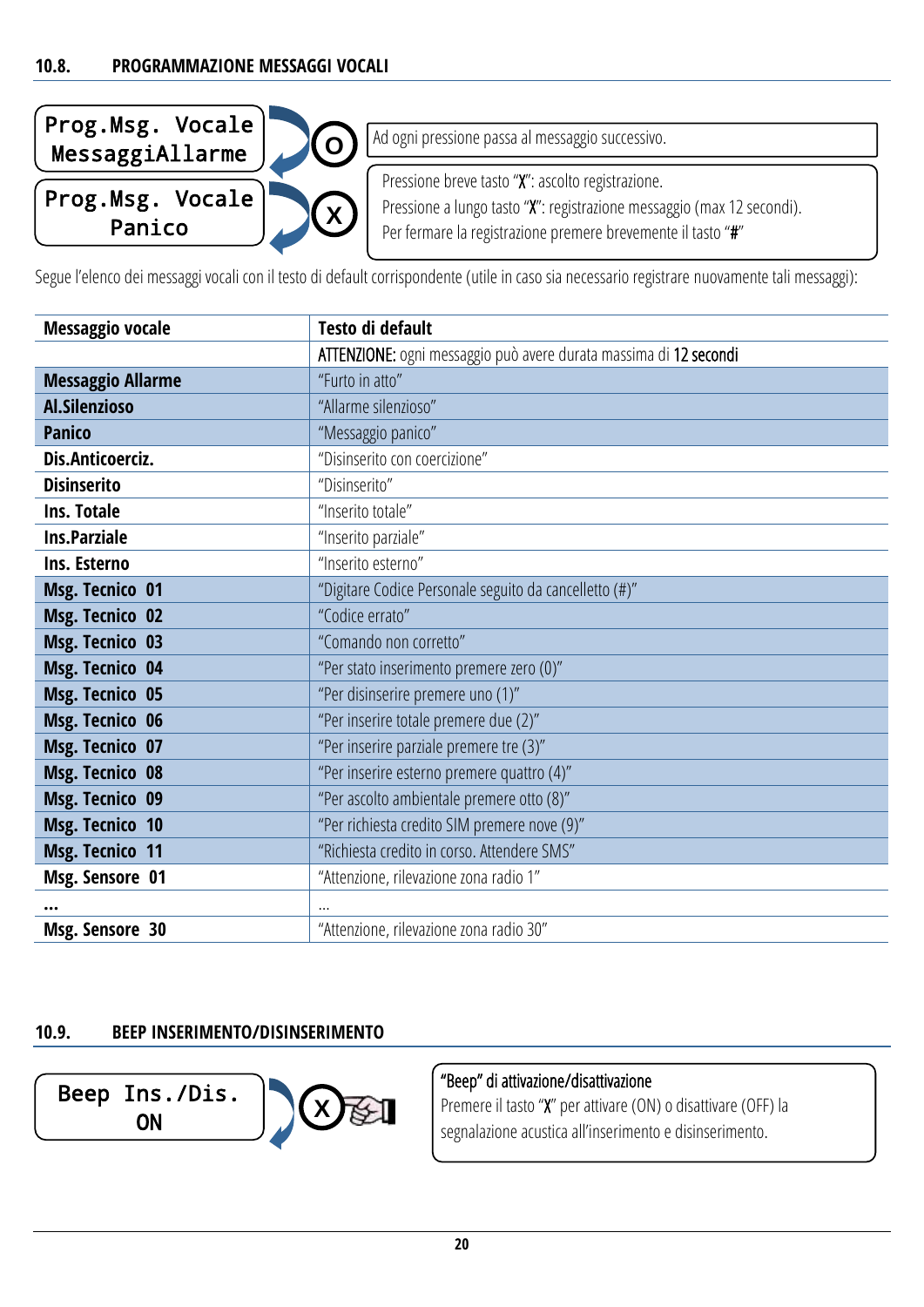<span id="page-19-0"></span>

| $\begin{bmatrix} \texttt{Prog.Msg.}\texttt{Vocale} \ \texttt{MessageiAllarme} \end{bmatrix}$<br>$\Omega$ | Ad ogni pressione passa al messaggio successivo.                                                                                                                                            |
|----------------------------------------------------------------------------------------------------------|---------------------------------------------------------------------------------------------------------------------------------------------------------------------------------------------|
| $\boldsymbol{X}$                                                                                         | Pressione breve tasto "X": ascolto registrazione.<br>Pressione a lungo tasto "X": registrazione messaggio (max 12 secondi).<br>Per fermare la registrazione premere brevemente il tasto "#" |

Segue l'elenco dei messaggi vocali con il testo di default corrispondente (utile in caso sia necessario registrare nuovamente tali messaggi):

| <b>Messaggio vocale</b>  | Testo di default                                                  |
|--------------------------|-------------------------------------------------------------------|
|                          | ATTENZIONE: ogni messaggio può avere durata massima di 12 secondi |
| <b>Messaggio Allarme</b> | "Furto in atto"                                                   |
| Al.Silenzioso            | "Allarme silenzioso"                                              |
| <b>Panico</b>            | "Messaggio panico"                                                |
| Dis.Anticoerciz.         | "Disinserito con coercizione"                                     |
| <b>Disinserito</b>       | "Disinserito"                                                     |
| Ins. Totale              | "Inserito totale"                                                 |
| <b>Ins.Parziale</b>      | "Inserito parziale"                                               |
| Ins. Esterno             | "Inserito esterno"                                                |
| <b>Msg. Tecnico 01</b>   | "Digitare Codice Personale seguito da cancelletto (#)"            |
| <b>Msg. Tecnico 02</b>   | "Codice errato"                                                   |
| <b>Msg. Tecnico 03</b>   | "Comando non corretto"                                            |
| <b>Msg. Tecnico 04</b>   | "Per stato inserimento premere zero (0)"                          |
| <b>Msg. Tecnico 05</b>   | "Per disinserire premere uno (1)"                                 |
| <b>Msg. Tecnico 06</b>   | "Per inserire totale premere due (2)"                             |
| Msg. Tecnico 07          | "Per inserire parziale premere tre (3)"                           |
| <b>Msg. Tecnico 08</b>   | "Per inserire esterno premere quattro (4)"                        |
| <b>Msg. Tecnico 09</b>   | "Per ascolto ambientale premere otto (8)"                         |
| <b>Msg. Tecnico 10</b>   | "Per richiesta credito SIM premere nove (9)"                      |
| <b>Msg. Tecnico 11</b>   | "Richiesta credito in corso. Attendere SMS"                       |
| Msg. Sensore 01          | "Attenzione, rilevazione zona radio 1"                            |
|                          |                                                                   |
| Msg. Sensore 30          | "Attenzione, rilevazione zona radio 30"                           |

#### <span id="page-19-1"></span>**10.9. BEEP INSERIMENTO/DISINSERIMENTO**



### "Beep" di attivazione/disattivazione

Premere il tasto "X" per attivare (ON) o disattivare (OFF) la segnalazione acustica all'inserimento e disinserimento.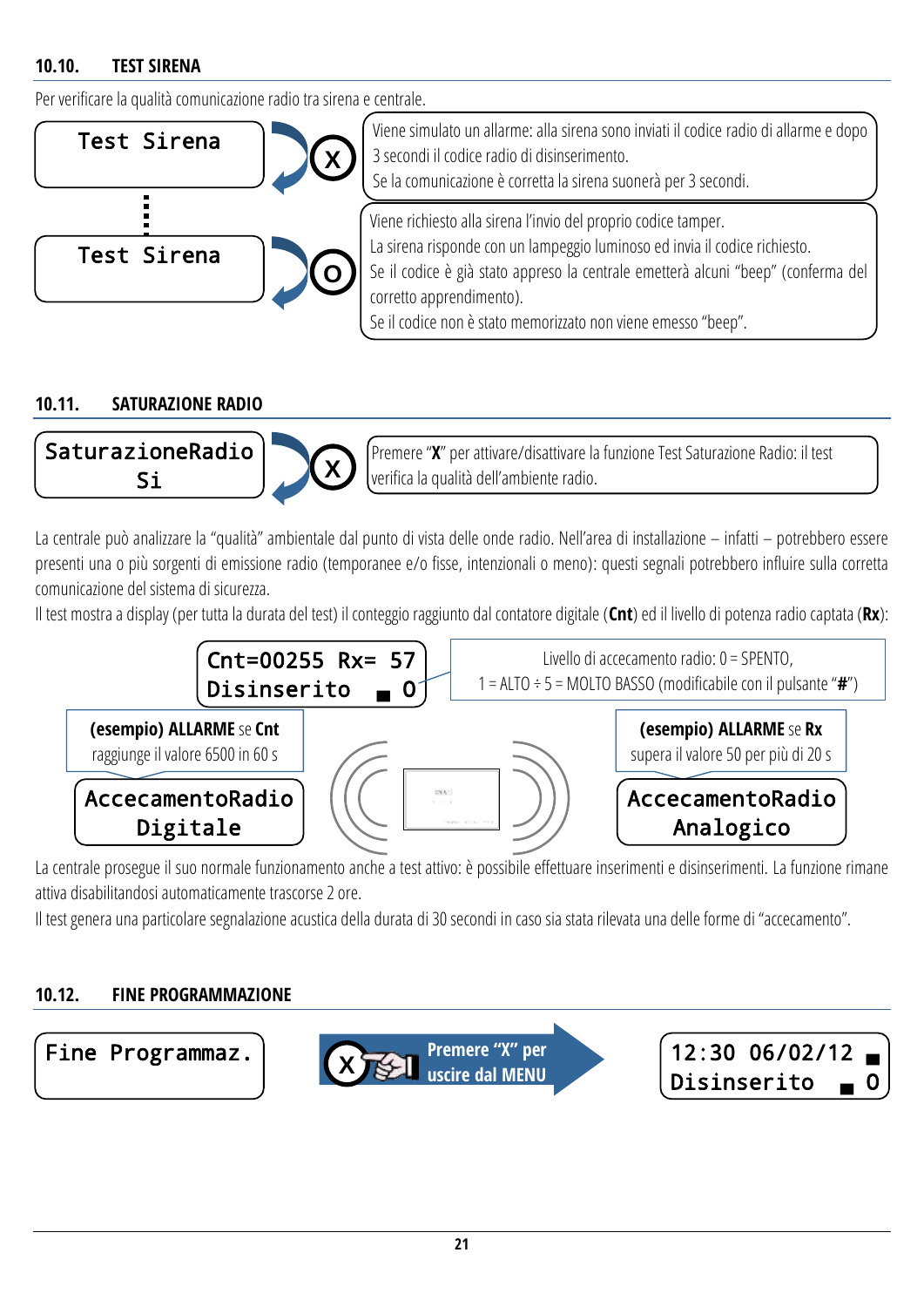#### <span id="page-20-0"></span>**10.10. TEST SIRENA**

Per verificare la qualità comunicazione radio tra sirena e centrale.



#### <span id="page-20-1"></span>**10.11. SATURAZIONE RADIO**



Premere "**X**" per attivare/disattivare la funzione Test Saturazione Radio: il test verifica la qualità dell'ambiente radio.

La centrale può analizzare la "qualità" ambientale dal punto di vista delle onde radio. Nell'area di installazione – infatti – potrebbero essere presenti una o più sorgenti di emissione radio (temporanee e/o fisse, intenzionali o meno): questi segnali potrebbero influire sulla corretta comunicazione del sistema di sicurezza.

Il test mostra a display (per tutta la durata del test) il conteggio raggiunto dal contatore digitale (**Cnt**) ed il livello di potenza radio captata(**Rx**):



La centrale prosegue il suo normale funzionamento anche a test attivo: è possibile effettuare inserimenti e disinserimenti. La funzione rimane attiva disabilitandosi automaticamente trascorse 2 ore.

Il test genera una particolare segnalazione acustica della durata di 30 secondi in caso sia stata rilevata una delle forme di "accecamento".

#### <span id="page-20-2"></span>**10.12. FINE PROGRAMMAZIONE**

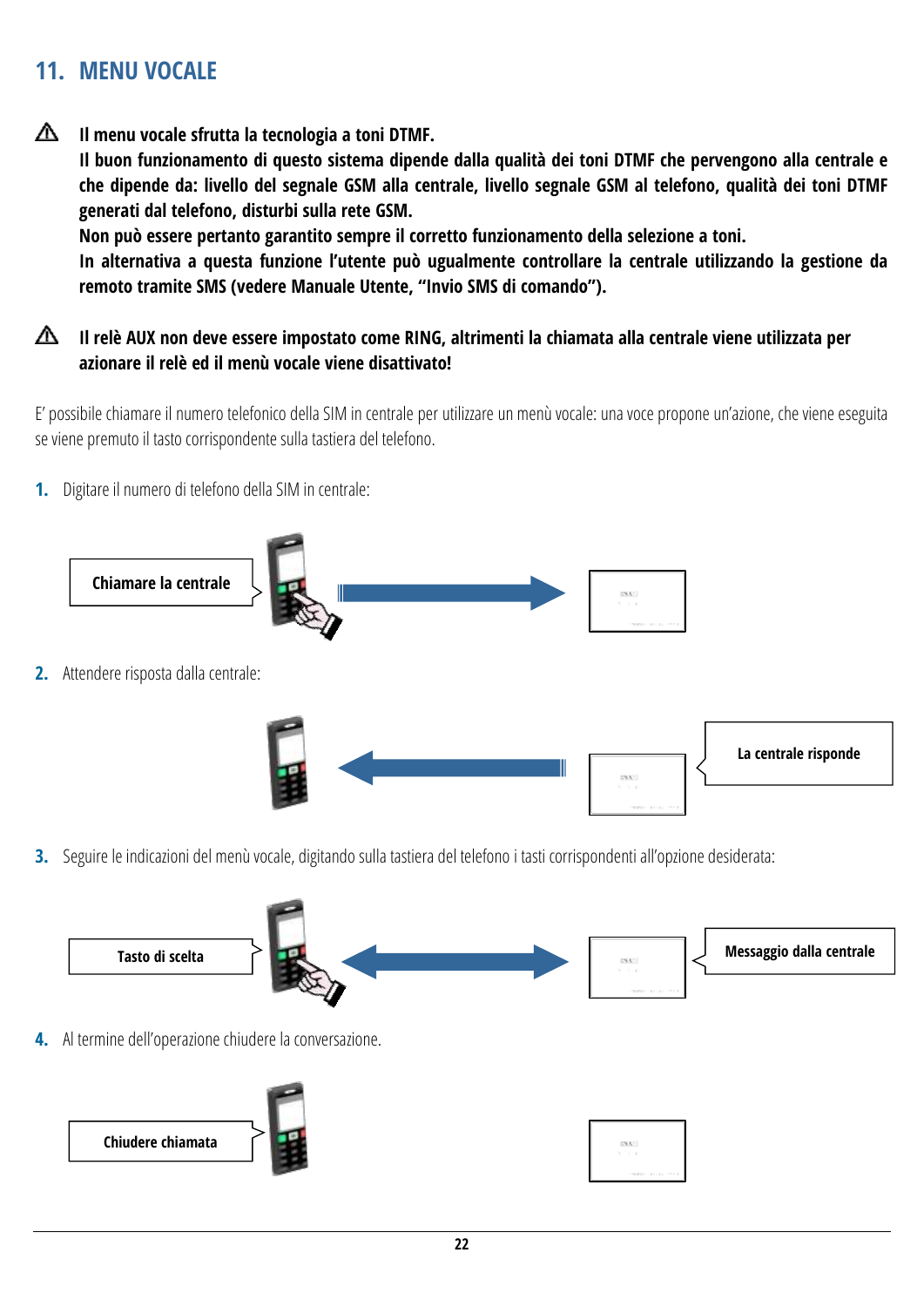## <span id="page-21-0"></span>**11. MENU VOCALE**

∧ **Il menu vocale sfrutta la tecnologia a toni DTMF. Il buon funzionamento di questo sistema dipende dalla qualità dei toni DTMF che pervengono alla centrale e che dipende da: livello del segnale GSM alla centrale, livello segnale GSM al telefono, qualità dei toni DTMF generati dal telefono, disturbi sulla rete GSM. Non può essere pertanto garantito sempre il corretto funzionamento della selezione a toni. In alternativa a questa funzione l'utente può ugualmente controllare la centrale utilizzando la gestione da remoto tramite SMS (vedere Manuale Utente, "Invio SMS di comando").**

#### ∧ **Il relè AUX non deve essere impostato come RING, altrimenti la chiamata alla centrale viene utilizzata per azionare il relè ed il menù vocale viene disattivato!**

E' possibile chiamare il numero telefonico della SIM in centrale per utilizzare un menù vocale: una voce propone un'azione, che viene eseguita se viene premuto il tasto corrispondente sulla tastiera del telefono.

**1.** Digitare il numero di telefono della SIM in centrale:



**3.** Seguire le indicazioni del menù vocale, digitando sulla tastiera del telefono i tasti corrispondenti all'opzione desiderata:



**4.** Al termine dell'operazione chiudere la conversazione.

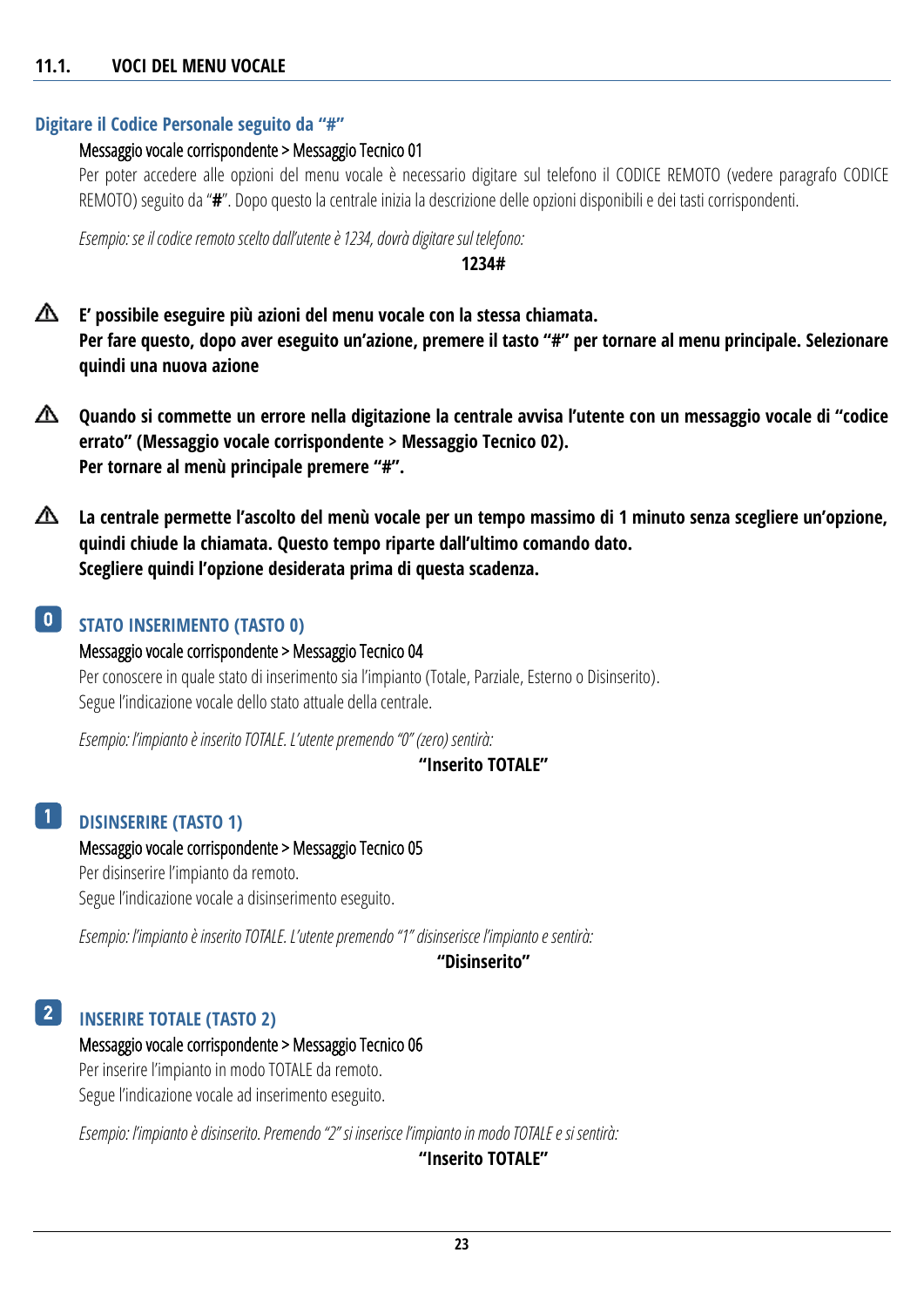#### <span id="page-22-0"></span>**11.1. VOCI DEL MENU VOCALE**

#### **Digitare il Codice Personale seguito da "#"**

#### Messaggio vocale corrispondente > Messaggio Tecnico 01

Per poter accedere alle opzioni del menu vocale è necessario digitare sul telefono il CODICE REMOTO (vedere paragrafo [CODICE](#page-18-0)  [REMOTO](#page-18-0)) seguito da "**#**". Dopo questo la centrale inizia la descrizione delle opzioni disponibili e dei tasti corrispondenti.

*Esempio: se il codice remotoscelto dall'utente è 1234, dovrà digitare sul telefono:*

#### **1234#**

- ⚠ **E' possibile eseguire più azioni del menu vocale con la stessa chiamata. Per fare questo, dopo aver eseguito un'azione, premere il tasto "#" per tornare al menu principale. Selezionare quindi una nuova azione**
- △ **Quando si commette un errore nella digitazione la centrale avvisa l'utente con un messaggio vocale di "codice errato" (Messaggio vocale corrispondente > Messaggio Tecnico 02). Per tornare al menù principale premere "#".**
- ⚠ **La centrale permette l'ascolto del menù vocale per un tempo massimo di 1 minuto senza scegliere un'opzione, quindi chiude la chiamata. Questo tempo riparte dall'ultimo comando dato. Scegliere quindi l'opzione desiderata prima di questa scadenza.**

#### **STATO INSERIMENTO (TASTO 0)**  $\vert 0 \vert$

Messaggio vocale corrispondente > Messaggio Tecnico 04 Per conoscere in quale stato di inserimento sia l'impianto (Totale, Parziale, Esterno o Disinserito). Segue l'indicazione vocale dello stato attuale della centrale.

*Esempio: l'impianto è inserito TOTALE. L'utente premendo "0" (zero) sentirà:*

#### **"Inserito TOTALE"**

#### **DISINSERIRE (TASTO 1)** 1

Messaggio vocale corrispondente > Messaggio Tecnico 05 Per disinserire l'impianto da remoto. Segue l'indicazione vocale a disinserimento eseguito.

*Esempio: l'impianto è inserito TOTALE. L'utente premendo "1" disinserisce l'impianto e sentirà:*

**"Disinserito"**

#### **INSERIRE TOTALE (TASTO 2)** 2

#### Messaggio vocale corrispondente > Messaggio Tecnico 06

Per inserire l'impianto in modo TOTALE da remoto. Segue l'indicazione vocale ad inserimento eseguito.

*Esempio: l'impianto è disinserito. Premendo "2" si inserisce l'impianto in modo TOTALE e si sentirà:*

**"Inserito TOTALE"**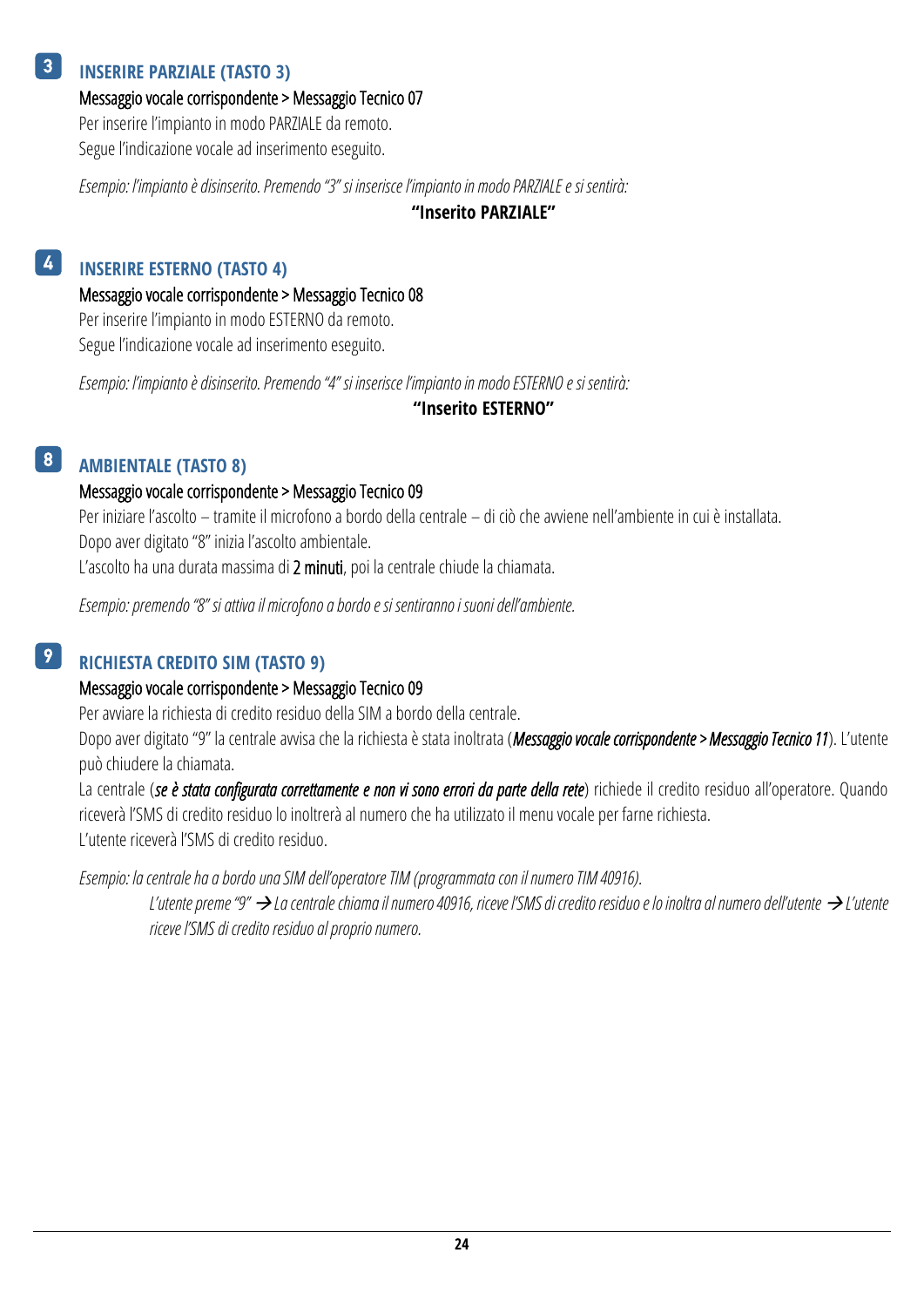#### **INSERIRE PARZIALE (TASTO 3)** 3

Messaggio vocale corrispondente > Messaggio Tecnico 07

Per inserire l'impianto in modo PARZIALE da remoto. Segue l'indicazione vocale ad inserimento eseguito.

*Esempio: l'impianto è disinserito. Premendo "3" si inserisce l'impianto in modo PARZIALE e si sentirà:*

**"Inserito PARZIALE"**

#### **INSERIRE ESTERNO (TASTO 4)** 4

Messaggio vocale corrispondente > Messaggio Tecnico 08 Per inserire l'impianto in modo ESTERNO da remoto.

Segue l'indicazione vocale ad inserimento eseguito.

*Esempio: l'impianto è disinserito. Premendo "4" si inserisce l'impianto in modo ESTERNO e si sentirà:*

#### **"Inserito ESTERNO"**

#### **AMBIENTALE (TASTO 8)** 8

#### Messaggio vocale corrispondente > Messaggio Tecnico 09

Per iniziare l'ascolto – tramite il microfono a bordo della centrale – di ciò che avviene nell'ambiente in cui è installata. Dopo aver digitato "8" inizia l'ascolto ambientale.

L'ascolto ha una durata massima di 2 minuti, poi la centrale chiude la chiamata.

*Esempio: premendo "8" si attiva il microfono a bordo e si sentiranno i suoni dell'ambiente.*

#### **RICHIESTA CREDITO SIM (TASTO 9)** 9

#### Messaggio vocale corrispondente > Messaggio Tecnico 09

Per avviare la richiesta di credito residuo della SIM a bordo della centrale.

Dopo aver digitato "9" la centrale avvisa che la richiesta è stata inoltrata (*Messaggio vocale corrispondente > Messaggio Tecnico 11*). L'utente può chiudere la chiamata.

La centrale (se è stata configurata correttamente e non vi sono errori da parte della rete) richiede il credito residuo all'operatore. Quando riceverà l'SMS di credito residuo lo inoltrerà al numero che ha utilizzato il menu vocale per farne richiesta. L'utente riceverà l'SMS di credito residuo.

*Esempio: la centrale ha a bordo una SIM dell'operatore TIM (programmata con il numero TIM 40916).*

*L'utente preme "9" La centrale chiama il numero 40916, riceve l'SMS di credito residuo e lo inoltra al numero dell'utente L'utente riceve l'SMS di credito residuo al proprio numero.*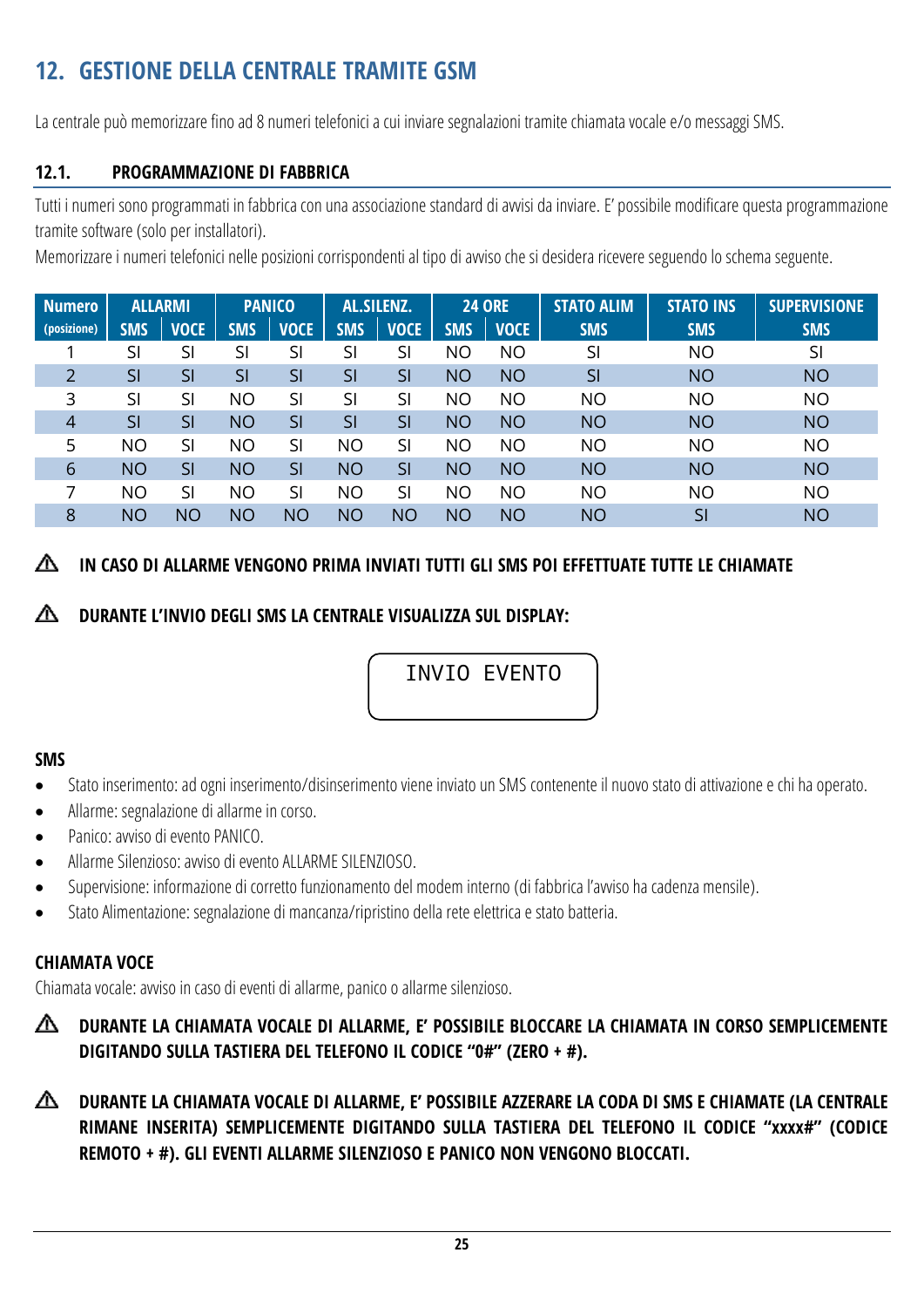## <span id="page-24-0"></span>**12. GESTIONE DELLA CENTRALE TRAMITE GSM**

La centrale può memorizzare fino ad 8 numeri telefonici a cui inviare segnalazioni tramite chiamata vocale e/o messaggi SMS.

### <span id="page-24-1"></span>**12.1. PROGRAMMAZIONE DI FABBRICA**

Tutti i numeri sono programmati in fabbrica con una associazione standard di avvisi da inviare. E' possibile modificare questa programmazione tramite software (solo per installatori).

Memorizzare i numeri telefonici nelle posizioni corrispondenti al tipo di avviso che si desidera ricevere seguendo lo schema seguente.

| Numero      |            | <b>ALLARMI</b> |            | <b>PANICO</b> |            | AL.SILENZ.  |            | <b>24 ORE</b> | <b>STATO ALIM</b> | <b>STATO INS</b> | <b>SUPERVISIONE</b> |
|-------------|------------|----------------|------------|---------------|------------|-------------|------------|---------------|-------------------|------------------|---------------------|
| (posizione) | <b>SMS</b> | <b>VOCE</b>    | <b>SMS</b> | <b>VOCE</b>   | <b>SMS</b> | <b>VOCE</b> | <b>SMS</b> | <b>VOCE</b>   | <b>SMS</b>        | <b>SMS</b>       | <b>SMS</b>          |
|             | SI         | SI             | SI         | SI            | SI         | SI          | ΝO         | <b>NO</b>     | SI                | <b>NO</b>        | SI                  |
| 2           | SI         | SI             | SI         | SI            | SI         | SI          | <b>NO</b>  | <b>NO</b>     | SI                | <b>NO</b>        | <b>NO</b>           |
| 3           | SI         | SI             | <b>NO</b>  | SI            | SI         | SI          | <b>NO</b>  | <b>NO</b>     | ΝO                | <b>NO</b>        | <b>NO</b>           |
| 4           | SI         | SI             | <b>NO</b>  | SI            | SI         | SI          | <b>NO</b>  | <b>NO</b>     | <b>NO</b>         | <b>NO</b>        | <b>NO</b>           |
| 5           | <b>NO</b>  | SI             | <b>NO</b>  | SI            | <b>NO</b>  | SI          | <b>NO</b>  | <b>NO</b>     | ΝO                | <b>NO</b>        | <b>NO</b>           |
| 6           | <b>NO</b>  | SI             | <b>NO</b>  | SI            | <b>NO</b>  | SI          | <b>NO</b>  | <b>NO</b>     | <b>NO</b>         | <b>NO</b>        | <b>NO</b>           |
|             | <b>NO</b>  | SI             | <b>NO</b>  | SI            | <b>NO</b>  | SI          | <b>NO</b>  | <b>NO</b>     | <b>NO</b>         | <b>NO</b>        | <b>NO</b>           |
| 8           | ΝO         | ΝO             | <b>NO</b>  | <b>NO</b>     | <b>NO</b>  | ΝO          | <b>NO</b>  | <b>NO</b>     | <b>NO</b>         | SI               | <b>NO</b>           |

#### ∧ **IN CASO DI ALLARME VENGONO PRIMA INVIATI TUTTI GLI SMS POI EFFETTUATE TUTTE LE CHIAMATE**

### **DURANTE L'INVIO DEGLI SMS LA CENTRALE VISUALIZZA SUL DISPLAY:**

INVIO EVENTO

#### **SMS**

- Stato inserimento: ad ogni inserimento/disinserimento viene inviato un SMS contenente il nuovo stato di attivazione e chi ha operato.
- Allarme: segnalazione di allarme in corso.
- Panico: avviso di evento PANICO.
- Allarme Silenzioso: avviso di evento ALLARME SILENZIOSO.
- Supervisione: informazione di corretto funzionamento del modem interno (di fabbrica l'avviso ha cadenza mensile).
- Stato Alimentazione: segnalazione di mancanza/ripristino della rete elettricae stato batteria.

#### **CHIAMATA VOCE**

Chiamata vocale: avviso in caso di eventi di allarme, panico o allarme silenzioso.

- ⚠ **DURANTE LA CHIAMATA VOCALE DI ALLARME, E' POSSIBILE BLOCCARE LA CHIAMATA IN CORSO SEMPLICEMENTE DIGITANDO SULLA TASTIERA DEL TELEFONO IL CODICE "0#" (ZERO + #).**
- △ **DURANTE LA CHIAMATA VOCALE DI ALLARME, E' POSSIBILE AZZERARE LA CODA DI SMS E CHIAMATE (LA CENTRALE RIMANE INSERITA) SEMPLICEMENTE DIGITANDO SULLA TASTIERA DEL TELEFONO IL CODICE "xxxx#" (CODICE REMOTO + #). GLI EVENTI ALLARME SILENZIOSO E PANICO NON VENGONO BLOCCATI.**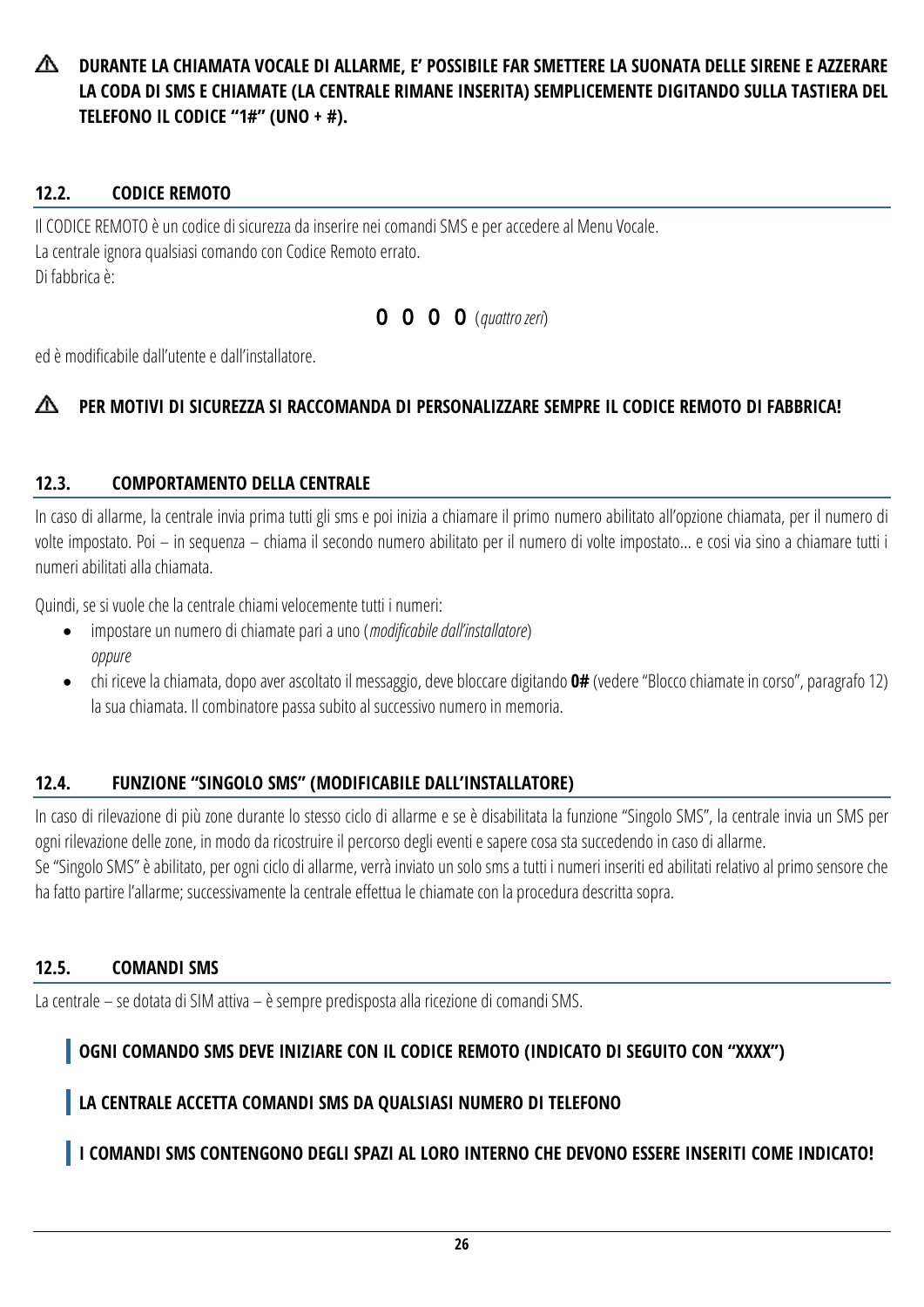Æ. **DURANTE LA CHIAMATA VOCALE DI ALLARME, E' POSSIBILE FAR SMETTERE LA SUONATA DELLE SIRENE E AZZERARE LA CODA DI SMS E CHIAMATE (LA CENTRALE RIMANE INSERITA) SEMPLICEMENTE DIGITANDO SULLA TASTIERA DEL TELEFONO IL CODICE "1#" (UNO + #).**

### <span id="page-25-0"></span>**12.2. CODICE REMOTO**

Il CODICE REMOTO è un codice di sicurezza da inserire nei comandi SMS e per accedere al Menu Vocale. La centrale ignora qualsiasi comando con Codice Remoto errato. Di fabbrica è:

0 0 0 0 (*quattro zeri*)

ed è modificabile dall'utente e dall'installatore.

#### ∧ **PER MOTIVI DI SICUREZZA SI RACCOMANDA DI PERSONALIZZARE SEMPRE IL CODICE REMOTO DI FABBRICA!**

#### <span id="page-25-1"></span>**12.3. COMPORTAMENTO DELLA CENTRALE**

In caso di allarme, la centrale invia prima tutti gli sms e poi inizia a chiamare il primo numero abilitato all'opzione chiamata, per il numero di volte impostato. Poi – in sequenza – chiama il secondo numero abilitato per il numero di volte impostato… e cosi via sino a chiamare tutti i numeri abilitati alla chiamata.

Quindi, se si vuole che la centrale chiami velocemente tutti i numeri:

- impostare un numero di chiamate pari a uno (*modificabile dall'installatore*) *oppure*
- chi riceve la chiamata, dopo aver ascoltato il messaggio, deve bloccare digitando **0#** (vedere "Blocco chiamate in corso", paragrafo 12) la sua chiamata. Il combinatore passa subito al successivo numero in memoria.

### <span id="page-25-2"></span>**12.4. FUNZIONE "SINGOLO SMS" (MODIFICABILE DALL'INSTALLATORE)**

In caso di rilevazione di più zone durante lo stesso ciclo di allarme e se è disabilitata la funzione "Singolo SMS", la centrale invia un SMS per ogni rilevazione delle zone, in modo da ricostruire il percorso degli eventi e sapere cosa sta succedendo in caso di allarme.

Se "Singolo SMS" è abilitato, per ogni ciclo di allarme, verrà inviato un solo sms a tutti i numeri inseriti ed abilitati relativo al primo sensore che ha fatto partire l'allarme; successivamente la centrale effettua le chiamate con la procedura descritta sopra.

#### <span id="page-25-3"></span>**12.5. COMANDI SMS**

La centrale – se dotata di SIM attiva – è sempre predisposta alla ricezione di comandi SMS.

## **OGNI COMANDO SMS DEVE INIZIARE CON IL CODICE REMOTO (INDICATO DI SEGUITO CON "XXXX")**

## **LA CENTRALE ACCETTA COMANDI SMS DA QUALSIASI NUMERO DI TELEFONO**

## **I COMANDI SMS CONTENGONO DEGLI SPAZI AL LORO INTERNO CHE DEVONO ESSERE INSERITI COME INDICATO!**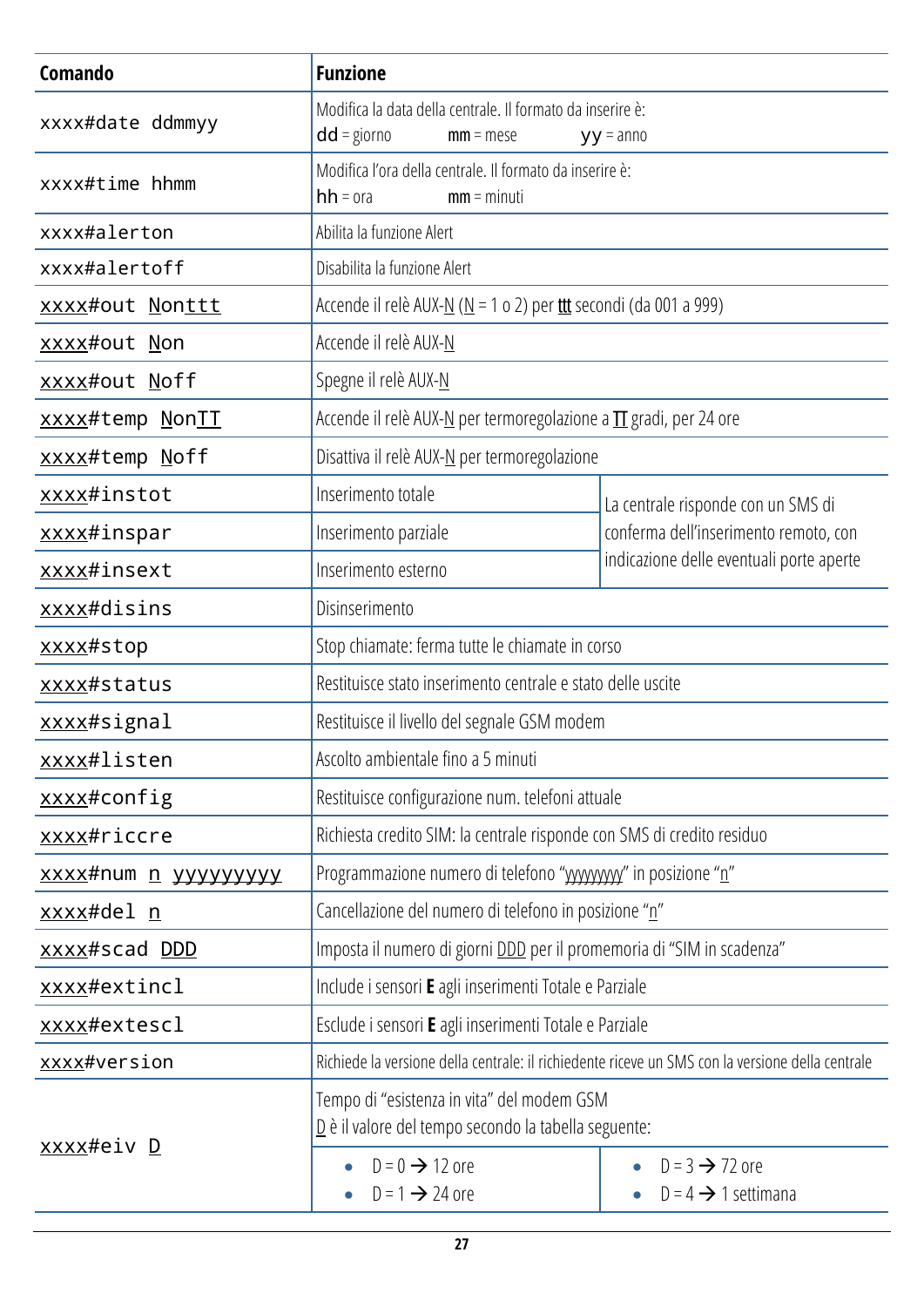| Comando                     | <b>Funzione</b>                                                                                                  |                                                               |  |  |
|-----------------------------|------------------------------------------------------------------------------------------------------------------|---------------------------------------------------------------|--|--|
| xxxx#date ddmmyy            | Modifica la data della centrale. Il formato da inserire è:<br>$dd =$ giorno<br>$mm = mese$                       | $yy = anno$                                                   |  |  |
| xxxx#time hhmm              | Modifica l'ora della centrale. Il formato da inserire è:<br>$hh = ora$<br>$mm = minuti$                          |                                                               |  |  |
| xxxx#alerton                | Abilita la funzione Alert                                                                                        |                                                               |  |  |
| xxxx#alertoff               | Disabilita la funzione Alert                                                                                     |                                                               |  |  |
| xxxx#out Nonttt             | Accende il relè AUX- $N(N = 1 o 2)$ per ttt secondi (da 001 a 999)                                               |                                                               |  |  |
| xxxx#out Non                | Accende il relè AUX-N                                                                                            |                                                               |  |  |
| xxxx#out Noff               | Spegne il relè AUX-N                                                                                             |                                                               |  |  |
| xxxx#temp NonII             | Accende il relè AUX-N per termoregolazione a $\Pi$ gradi, per 24 ore                                             |                                                               |  |  |
| xxxx#temp Noff              | Disattiva il relè AUX-N per termoregolazione                                                                     |                                                               |  |  |
| xxxx#instot                 | Inserimento totale                                                                                               | La centrale risponde con un SMS di                            |  |  |
| xxxx#inspar                 | Inserimento parziale                                                                                             | conferma dell'inserimento remoto, con                         |  |  |
| xxxx#insext                 | Inserimento esterno                                                                                              | indicazione delle eventuali porte aperte                      |  |  |
| xxxx#disins                 | Disinserimento                                                                                                   |                                                               |  |  |
| xxxx#stop                   | Stop chiamate: ferma tutte le chiamate in corso                                                                  |                                                               |  |  |
| xxxx#status                 | Restituisce stato inserimento centrale e stato delle uscite                                                      |                                                               |  |  |
| xxxx#signal                 | Restituisce il livello del segnale GSM modem                                                                     |                                                               |  |  |
| xxxx#listen                 | Ascolto ambientale fino a 5 minuti                                                                               |                                                               |  |  |
| xxxx#config                 | Restituisce configurazione num. telefoni attuale                                                                 |                                                               |  |  |
| xxxx#riccre                 | Richiesta credito SIM: la centrale risponde con SMS di credito residuo                                           |                                                               |  |  |
| xxxx#num <u>n</u> yyyyyyyyy | Programmazione numero di telefono "wwwwy" in posizione "n"                                                       |                                                               |  |  |
| <u>xxxx</u> #del <u>n</u>   | Cancellazione del numero di telefono in posizione "n"                                                            |                                                               |  |  |
| xxxx#scad DDD               | Imposta il numero di giorni DDD per il promemoria di "SIM in scadenza"                                           |                                                               |  |  |
| xxxx#extincl                | Include i sensori E agli inserimenti Totale e Parziale                                                           |                                                               |  |  |
| xxxx#extescl                | Esclude i sensori E agli inserimenti Totale e Parziale                                                           |                                                               |  |  |
| xxxx#version                | Richiede la versione della centrale: il richiedente riceve un SMS con la versione della centrale                 |                                                               |  |  |
| xxxx#eiv D                  | Tempo di "esistenza in vita" del modem GSM<br>$\underline{D}$ è il valore del tempo secondo la tabella seguente: |                                                               |  |  |
|                             | $D = 0 \rightarrow 12$ ore<br>$D = 1 \rightarrow 24$ ore                                                         | $D = 3 \rightarrow 72$ ore<br>$D = 4 \rightarrow 1$ settimana |  |  |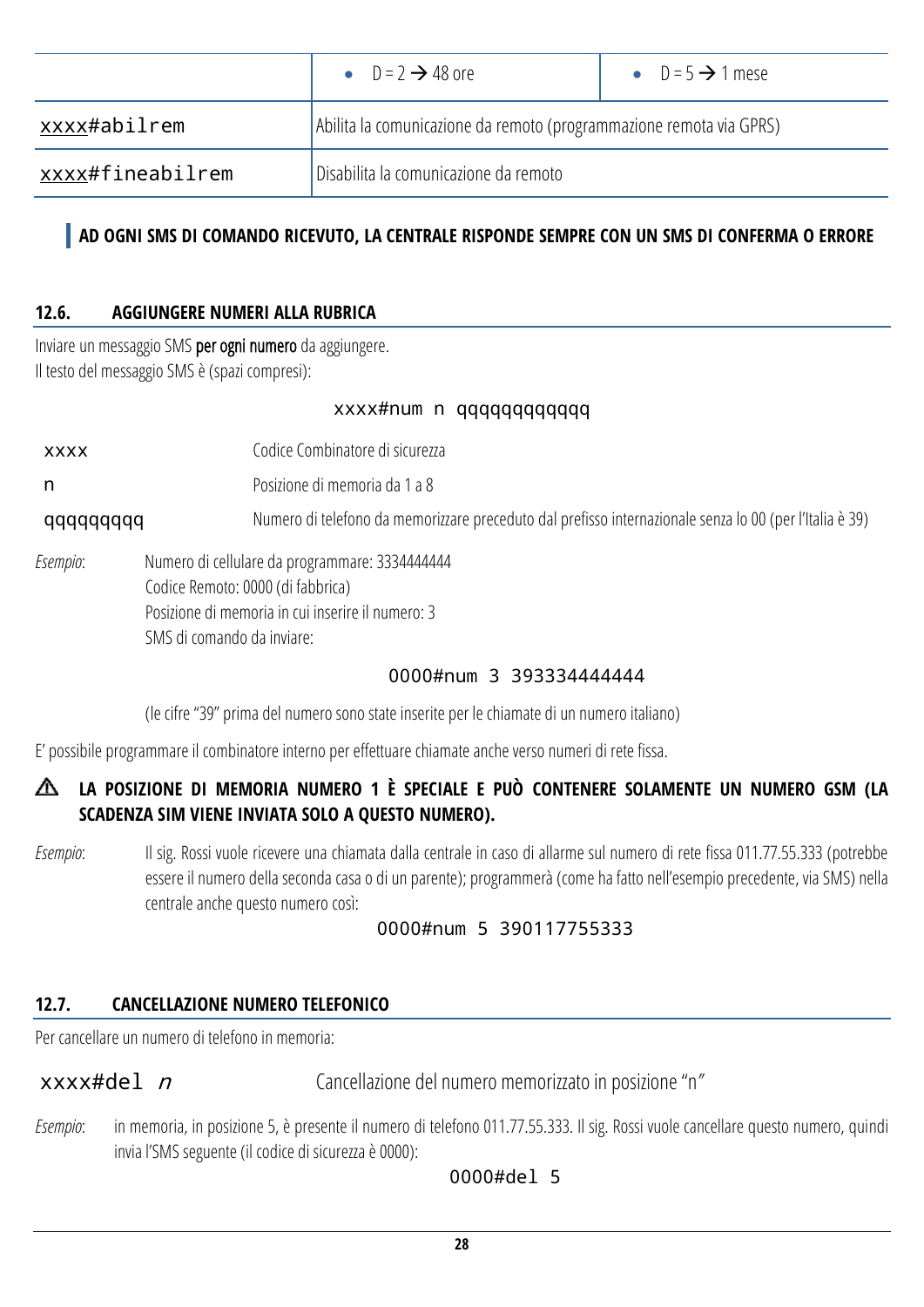| • $D = 2 \rightarrow 48$ ore |                                                                     | • $D = 5 \rightarrow 1$ mese |  |  |
|------------------------------|---------------------------------------------------------------------|------------------------------|--|--|
| xxxx#abilrem                 | Abilita la comunicazione da remoto (programmazione remota via GPRS) |                              |  |  |
| xxxx#fineabilrem             | Disabilita la comunicazione da remoto                               |                              |  |  |

### **AD OGNI SMS DI COMANDO RICEVUTO, LA CENTRALE RISPONDE SEMPRE CON UN SMS DI CONFERMA O ERRORE**

#### <span id="page-27-0"></span>**12.6. AGGIUNGERE NUMERI ALLA RUBRICA**

Inviare un messaggio SMS per ogni numero da aggiungere. Il testo del messaggio SMS è(spazi compresi):

#### xxxx#num n qqqqqqqqqqqq

xxxx Codice Combinatore di sicurezza

n Posizione di memoria da 1 a 8

qqqqqqqqq Numero di telefono da memorizzare preceduto dal prefisso internazionale senza lo 00 (per l'Italia è 39)

*Esempio*: Numero di cellulare da programmare: 3334444444 Codice Remoto: 0000 (di fabbrica) Posizione di memoria in cui inserire il numero: 3 SMS di comando da inviare:

#### 0000#num 3 393334444444

(le cifre "39" prima del numero sono state inserite per le chiamate di un numero italiano)

E' possibile programmare il combinatore interno per effettuare chiamate anche verso numeri di rete fissa.

### **LA POSIZIONE DI MEMORIA NUMERO 1 È SPECIALE E PUÒ CONTENERE SOLAMENTE UN NUMERO GSM (LA SCADENZA SIM VIENE INVIATA SOLO A QUESTO NUMERO).**

*Esempio*: Il sig. Rossi vuole ricevere una chiamata dalla centrale in caso di allarme sul numero di rete fissa 011.77.55.333 (potrebbe essere il numero della seconda casa o di un parente); programmerà (come ha fatto nell'esempio precedente, via SMS) nella centrale anche questo numero così:

#### 0000#num 5 390117755333

#### <span id="page-27-1"></span>**12.7. CANCELLAZIONE NUMERO TELEFONICO**

Per cancellare un numero di telefono in memoria:

xxxx#del *n* Cancellazione del numero memorizzato in posizione "n"

*Esempio*: in memoria, in posizione 5, è presente il numero di telefono 011.77.55.333. Il sig. Rossi vuole cancellare questo numero, quindi invia l'SMS seguente (il codice di sicurezza è 0000):

0000#del 5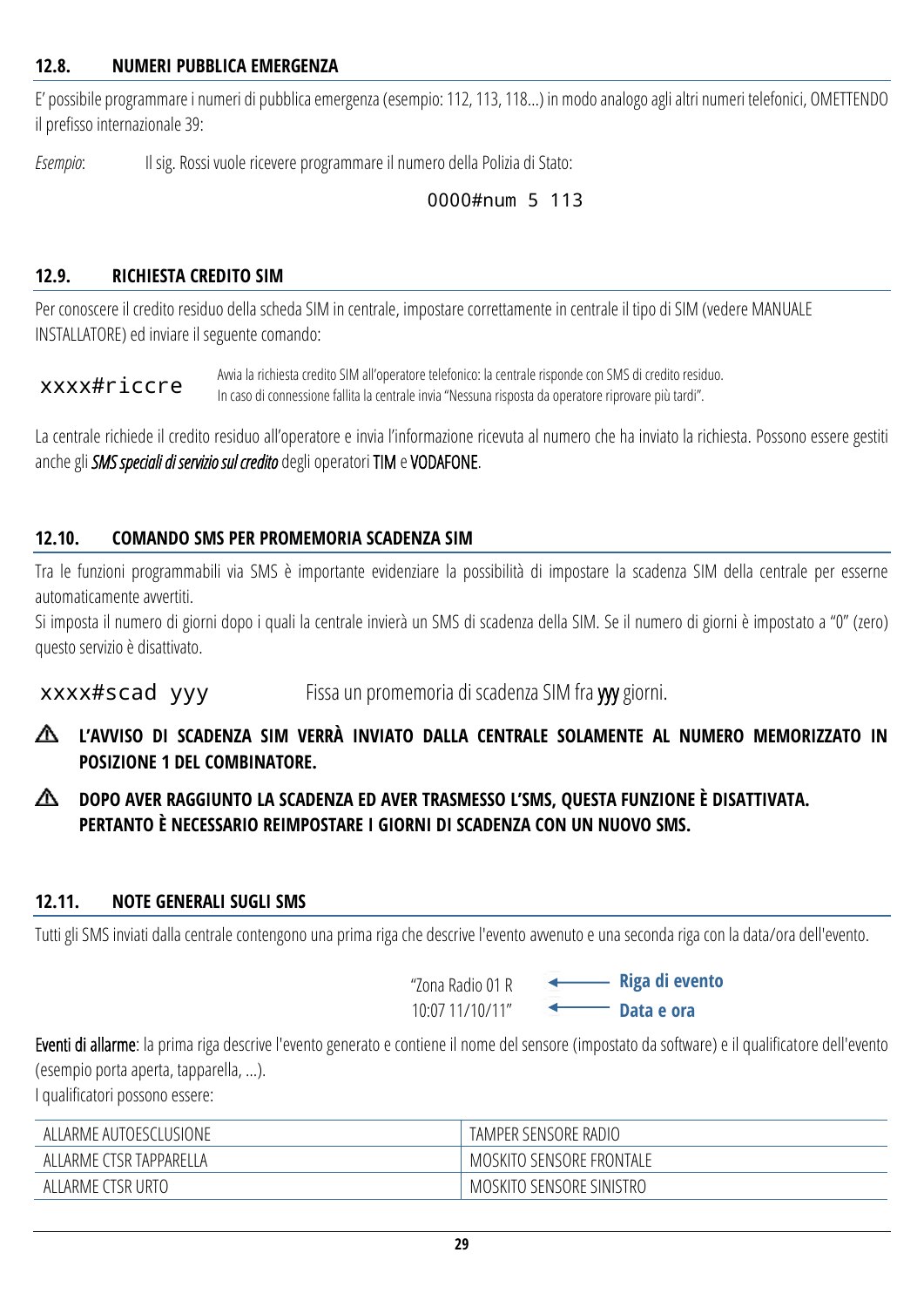#### <span id="page-28-0"></span>**12.8. NUMERI PUBBLICA EMERGENZA**

E' possibile programmare i numeri di pubblica emergenza (esempio: 112, 113, 118…) in modo analogo agli altri numeri telefonici, OMETTENDO il prefisso internazionale 39:

*Esempio*: Il sig. Rossi vuole ricevere programmare il numero della Polizia di Stato:

#### 0000#num 5 113

#### <span id="page-28-1"></span>**12.9. RICHIESTA CREDITO SIM**

Per conoscere il credito residuo della scheda SIM in centrale, impostare correttamente in centrale il tipo di SIM (vedere MANUALE INSTALLATORE) ed inviare il seguente comando:

xxxx#riccre Avvia la richiesta credito SIM all'operatore telefonico: la centrale risponde con SMS di credito residuo. In caso di connessione fallita la centrale invia "Nessuna risposta da operatore riprovare più tardi".

La centrale richiede il credito residuo all'operatore e invia l'informazione ricevuta al numero che ha inviato la richiesta. Possono essere gestiti anche gli *SMS speciali di servizio sul credito* degli operatori TIM e VODAFONE.

#### <span id="page-28-2"></span>**12.10. COMANDO SMS PER PROMEMORIA SCADENZA SIM**

Tra le funzioni programmabili via SMS è importante evidenziare la possibilità di impostare la scadenza SIM della centrale per esserne automaticamente avvertiti.

Si imposta il numero di giorni dopo i quali la centrale invierà un SMS di scadenza della SIM. Se il numero di giorni è impostato a "0" (zero) questo servizio è disattivato.

xxxx#scad yyy Fissa un promemoria di scadenza SIM fra yyy giorni.

- **L'AVVISO DI SCADENZA SIM VERRÀ INVIATO DALLA CENTRALE SOLAMENTE AL NUMERO MEMORIZZATO IN POSIZIONE 1 DEL COMBINATORE.**
- ∧ **DOPO AVER RAGGIUNTO LA SCADENZA ED AVER TRASMESSO L'SMS, QUESTA FUNZIONE È DISATTIVATA. PERTANTO È NECESSARIO REIMPOSTARE I GIORNI DI SCADENZA CON UN NUOVO SMS.**

#### <span id="page-28-3"></span>**12.11. NOTE GENERALI SUGLI SMS**

Tutti gli SMS inviati dalla centrale contengono una prima riga che descrive l'evento avvenuto e una seconda riga con la data/ora dell'evento.

"Zona Radio 01 R 10:07 11/10/11"

**Riga di evento Data e ora**

Eventi di allarme: la prima riga descrive l'evento generato e contiene il nome del sensore (impostato da software) e il qualificatore dell'evento (esempio porta aperta, tapparella, …).

I qualificatori possono essere:

| ALLARME AUTOESCLUSIONE  | TAMPER SENSORE RADIO     |
|-------------------------|--------------------------|
| ALLARME CTSR TAPPARELLA | MOSKITO SENSORE FRONTALE |
| ALLARME CTSR URTO       | MOSKITO SENSORE SINISTRO |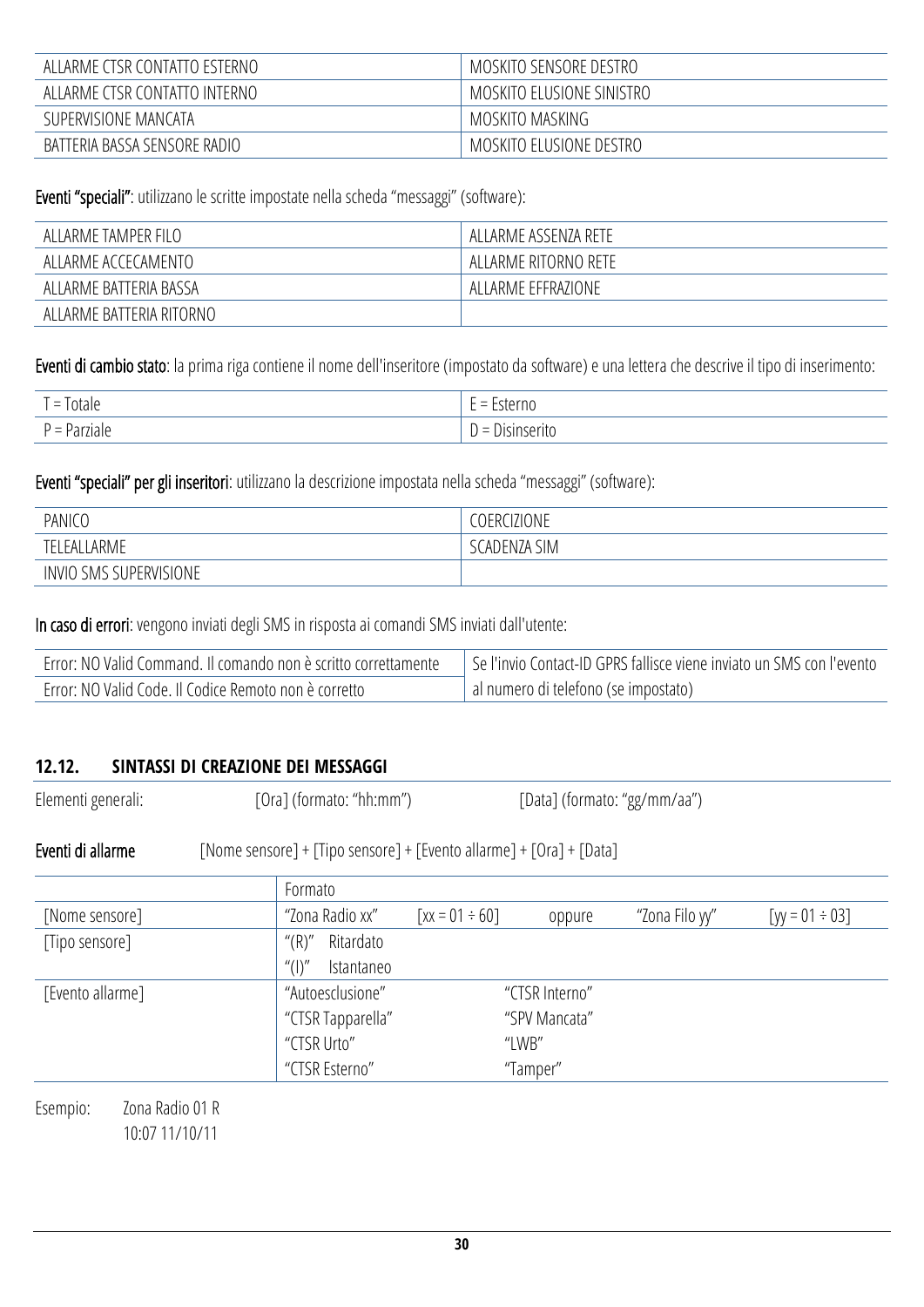| ALLARME CTSR CONTATTO ESTERNO | MOSKITO SENSORE DESTRO    |
|-------------------------------|---------------------------|
| ALLARME CTSR CONTATTO INTERNO | MOSKITO ELUSIONE SINISTRO |
| SUPERVISIONE MANCATA          | MOSKITO MASKING           |
| BATTERIA BASSA SENSORE RADIO  | MOSKITO ELUSIONE DESTRO   |

Eventi "speciali": utilizzano le scritte impostate nella scheda "messaggi" (software):

| ALLARME TAMPER FILO      | ALLARME ASSENZA RETE |
|--------------------------|----------------------|
| ALLARME ACCECAMENTO      | ALLARME RITORNO RETE |
| ALLARME BATTERIA BASSA   | ALLARME EFFRAZIONE   |
| ALLARME BATTERIA RITORNO |                      |

Eventi di cambio stato: la prima riga contiene il nome dell'inseritore (impostato da software) e una lettera che descrive il tipo di inserimento:

| -<br>lotale<br>$\overline{\phantom{0}}$ | --<br>†≏rno<br>$\overline{\phantom{a}}$<br>$\overline{\phantom{0}}$<br>LSU<br>-                   |
|-----------------------------------------|---------------------------------------------------------------------------------------------------|
| Parziale<br>-                           | $\sim$<br>JISIr<br>$\overline{\phantom{a}}$<br>$\overline{\phantom{a}}$<br>N.<br>ાા<br>1.1V.<br>້ |

Eventi "speciali" per gli inseritori: utilizzano la descrizione impostata nella scheda "messaggi" (software):

| PANICO                 | <b>COERCIZIONE</b>              |
|------------------------|---------------------------------|
| LEALLARME              | <b>SIM</b><br><b>CADENZA S'</b> |
| INVIO SMS SUPERVISIONE |                                 |

In caso di errori: vengono inviati degli SMS in risposta ai comandi SMS inviati dall'utente:

| Error: NO Valid Command. Il comando non è scritto correttamente | Se l'invio Contact-ID GPRS fallisce viene inviato un SMS con l'evento |  |
|-----------------------------------------------------------------|-----------------------------------------------------------------------|--|
| Error: NO Valid Code. Il Codice Remoto non è corretto           | al numero di telefono (se impostato)                                  |  |

#### <span id="page-29-0"></span>**12.12. SINTASSI DI CREAZIONE DEI MESSAGGI**

Elementi generali: [Ora] (formato: "hh:mm") [Data] (formato: "gg/mm/aa") Eventi di allarme [Nome sensore] + [Tipo sensore] + [Evento allarme] + [Ora] + [Data] Formato [Nome sensore] The sensore]  $\frac{1}{2}$   $\frac{1}{2}$   $\frac{1}{2}$   $\frac{1}{2}$   $\frac{1}{2}$   $\frac{1}{2}$   $\frac{1}{2}$   $\frac{1}{2}$   $\frac{1}{2}$   $\frac{1}{2}$   $\frac{1}{2}$   $\frac{1}{2}$   $\frac{1}{2}$   $\frac{1}{2}$   $\frac{1}{2}$   $\frac{1}{2}$   $\frac{1}{2}$   $\frac{1}{2}$   $\frac{1}{2}$   $\frac$ [Tipo sensore] "(R)" Ritardato "(I)" Istantaneo [Evento allarme] "Autoesclusione" "CTSR Interno" "CTSR Tapparella" "SPV Mancata" "CTSR Urto" "LWB" "CTSR Esterno" "Tamper" Esempio: Zona Radio 01 R

10:07 11/10/11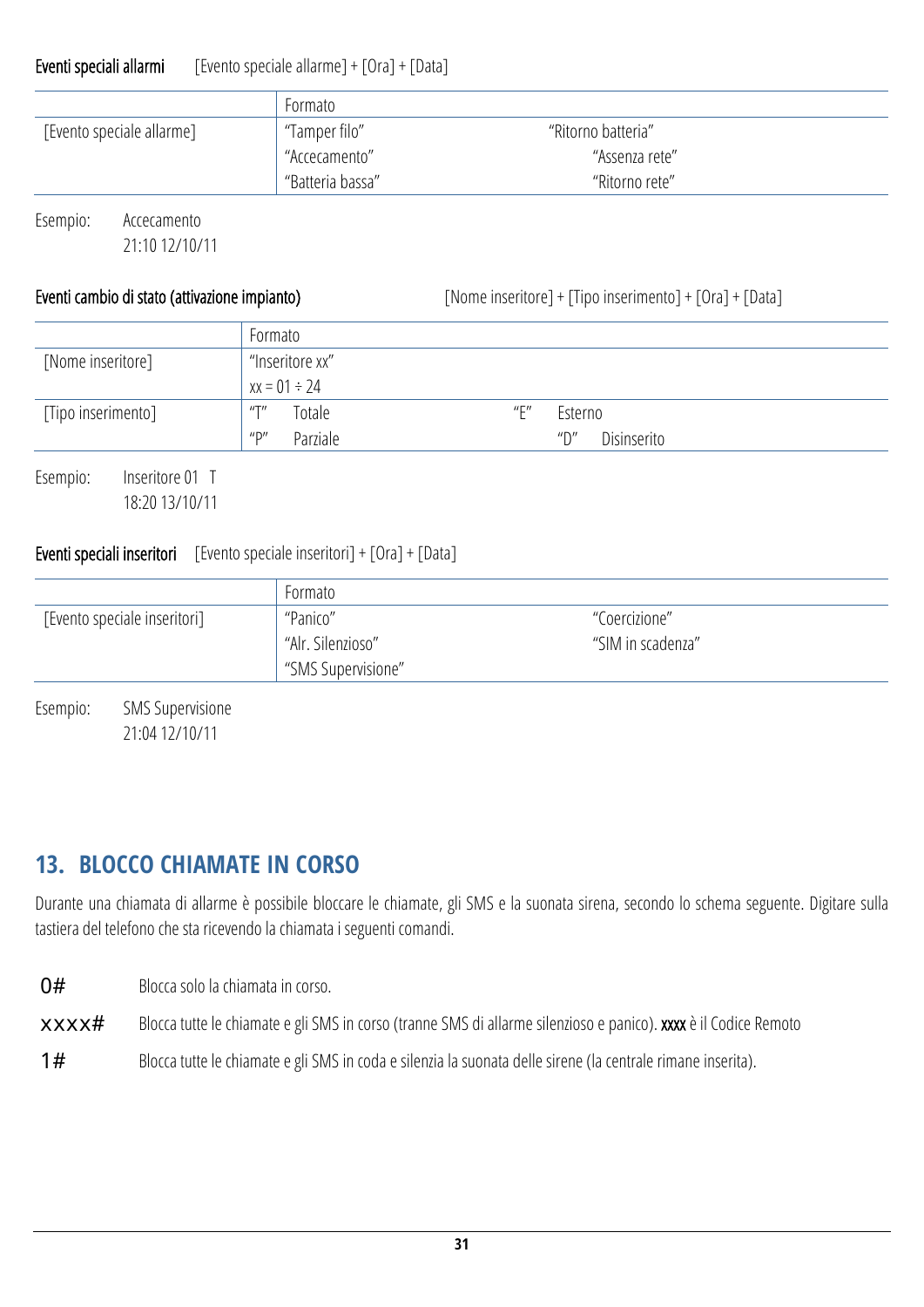#### Eventi speciali allarmi [Evento speciale allarme] + [Ora] + [Data]

|                           | Formato          |                    |  |
|---------------------------|------------------|--------------------|--|
| [Evento speciale allarme] | "Tamper filo"    | "Ritorno batteria" |  |
|                           | "Accecamento"    | "Assenza rete"     |  |
|                           | "Batteria bassa" | "Ritorno rete"     |  |

Esempio: Accecamento 21:10 12/10/11

Eventi cambio di stato (attivazione impianto) [Nome inseritore] + [Tipo inserimento] + [Ora] + [Data]

|                    | Formato                                           |                                                      |
|--------------------|---------------------------------------------------|------------------------------------------------------|
| [Nome inseritore]  | "Inseritore xx"                                   |                                                      |
|                    | $xx = 01 \div 24$                                 |                                                      |
| [Tipo inserimento] | Totale<br>$^{\prime\prime\prime}$                 | $^{\prime\prime}$ $\Gamma^{\prime\prime}$<br>Esterno |
|                    | $^{\prime\prime}$ D $^{\prime\prime}$<br>Parziale | $^{\prime\prime}$ D $^{\prime\prime}$<br>Disinserito |

Esempio: Inseritore 01 T 18:20 13/10/11

#### **Eventi speciali inseritori** [Evento speciale inseritori] +  $[Ora]$  +  $[Data]$

|                              | Formato            |                   |
|------------------------------|--------------------|-------------------|
| [Evento speciale inseritori] | "Panico"           | "Coercizione"     |
|                              | "Alr. Silenzioso"  | "SIM in scadenza" |
|                              | "SMS Supervisione" |                   |

Esempio: SMS Supervisione 21:04 12/10/11

## <span id="page-30-0"></span>**13. BLOCCO CHIAMATE IN CORSO**

Durante una chiamata di allarme è possibile bloccare le chiamate, gli SMS e la suonata sirena, secondo lo schema seguente. Digitare sulla tastiera del telefono che sta ricevendo la chiamata i seguenti comandi.

O# Blocca solo la chiamata in corso.

- xxxx# Blocca tutte le chiamate e gli SMS in corso (tranne SMS diallarme silenzioso e panico). xxxx è il Codice Remoto
- 1# Blocca tutte le chiamate e gli SMS in coda e silenzia la suonata delle sirene (la centrale rimane inserita).